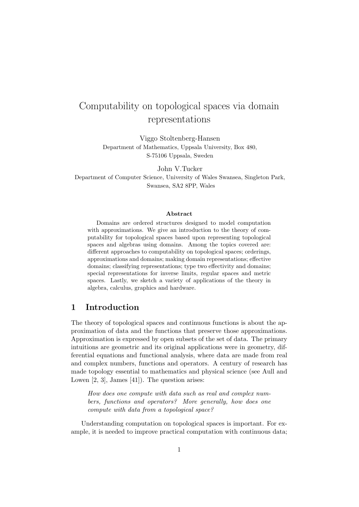# Computability on topological spaces via domain representations

Viggo Stoltenberg-Hansen Department of Mathematics, Uppsala University, Box 480, S-75106 Uppsala, Sweden

John V.Tucker

Department of Computer Science, University of Wales Swansea, Singleton Park, Swansea, SA2 8PP, Wales

#### Abstract

Domains are ordered structures designed to model computation with approximations. We give an introduction to the theory of computability for topological spaces based upon representing topological spaces and algebras using domains. Among the topics covered are: different approaches to computability on topological spaces; orderings, approximations and domains; making domain representations; effective domains; classifying representations; type two effectivity and domains; special representations for inverse limits, regular spaces and metric spaces. Lastly, we sketch a variety of applications of the theory in algebra, calculus, graphics and hardware.

### 1 Introduction

The theory of topological spaces and continuous functions is about the approximation of data and the functions that preserve those approximations. Approximation is expressed by open subsets of the set of data. The primary intuitions are geometric and its original applications were in geometry, differential equations and functional analysis, where data are made from real and complex numbers, functions and operators. A century of research has made topology essential to mathematics and physical science (see Aull and Lowen [2, 3], James [41]). The question arises:

How does one compute with data such as real and complex numbers, functions and operators? More generally, how does one compute with data from a topological space?

Understanding computation on topological spaces is important. For example, it is needed to improve practical computation with continuous data;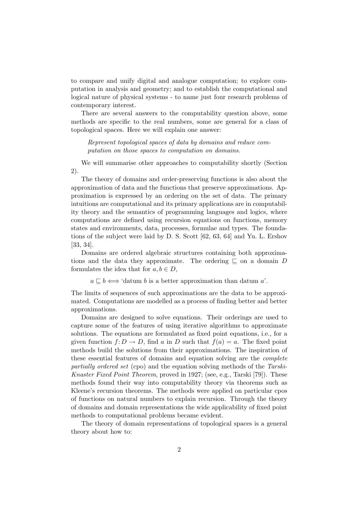to compare and unify digital and analogue computation; to explore computation in analysis and geometry; and to establish the computational and logical nature of physical systems - to name just four research problems of contemporary interest.

There are several answers to the computability question above, some methods are specific to the real numbers, some are general for a class of topological spaces. Here we will explain one answer:

Represent topological spaces of data by domains and reduce computation on those spaces to computation on domains.

We will summarise other approaches to computability shortly (Section 2).

The theory of domains and order-preserving functions is also about the approximation of data and the functions that preserve approximations. Approximation is expressed by an ordering on the set of data. The primary intuitions are computational and its primary applications are in computability theory and the semantics of programming languages and logics, where computations are defined using recursion equations on functions, memory states and environments, data, processes, formulae and types. The foundations of the subject were laid by D. S. Scott [62, 63, 64] and Yu. L. Ershov [33, 34].

Domains are ordered algebraic structures containing both approximations and the data they approximate. The ordering  $\subseteq$  on a domain D formulates the idea that for  $a, b \in D$ ,

 $a \sqsubseteq b \Longleftrightarrow$  'datum b is a better approximation than datum a'.

The limits of sequences of such approximations are the data to be approximated. Computations are modelled as a process of finding better and better approximations.

Domains are designed to solve equations. Their orderings are used to capture some of the features of using iterative algorithms to approximate solutions. The equations are formulated as fixed point equations, i.e., for a given function  $f: D \to D$ , find a in D such that  $f(a) = a$ . The fixed point methods build the solutions from their approximations. The inspiration of these essential features of domains and equation solving are the complete partially ordered set (cpo) and the equation solving methods of the Tarski-Knaster Fixed Point Theorem, proved in 1927; (see, e.g., Tarski [79]). These methods found their way into computability theory via theorems such as Kleene's recursion theorems. The methods were applied on particular cpos of functions on natural numbers to explain recursion. Through the theory of domains and domain representations the wide applicability of fixed point methods to computational problems became evident.

The theory of domain representations of topological spaces is a general theory about how to: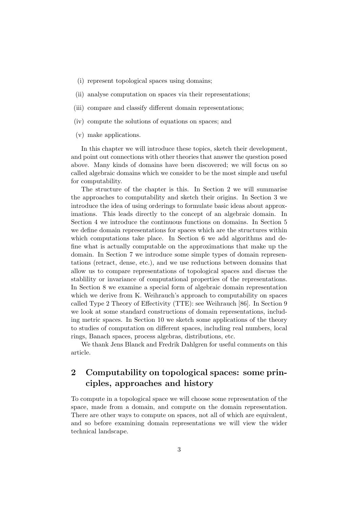- (i) represent topological spaces using domains;
- (ii) analyse computation on spaces via their representations;
- (iii) compare and classify different domain representations;
- (iv) compute the solutions of equations on spaces; and

(v) make applications.

In this chapter we will introduce these topics, sketch their development, and point out connections with other theories that answer the question posed above. Many kinds of domains have been discovered; we will focus on so called algebraic domains which we consider to be the most simple and useful for computability.

The structure of the chapter is this. In Section 2 we will summarise the approaches to computability and sketch their origins. In Section 3 we introduce the idea of using orderings to formulate basic ideas about approximations. This leads directly to the concept of an algebraic domain. In Section 4 we introduce the continuous functions on domains. In Section 5 we define domain representations for spaces which are the structures within which computations take place. In Section 6 we add algorithms and define what is actually computable on the approximations that make up the domain. In Section 7 we introduce some simple types of domain representations (retract, dense, etc.), and we use reductions between domains that allow us to compare representations of topological spaces and discuss the stablility or invariance of computational properties of the representations. In Section 8 we examine a special form of algebraic domain representation which we derive from K. Weihrauch's approach to computability on spaces called Type 2 Theory of Effectivity (TTE): see Weihrauch [86]. In Section 9 we look at some standard constructions of domain representations, including metric spaces. In Section 10 we sketch some applications of the theory to studies of computation on different spaces, including real numbers, local rings, Banach spaces, process algebras, distributions, etc.

We thank Jens Blanck and Fredrik Dahlgren for useful comments on this article.

## 2 Computability on topological spaces: some principles, approaches and history

To compute in a topological space we will choose some representation of the space, made from a domain, and compute on the domain representation. There are other ways to compute on spaces, not all of which are equivalent, and so before examining domain representations we will view the wider technical landscape.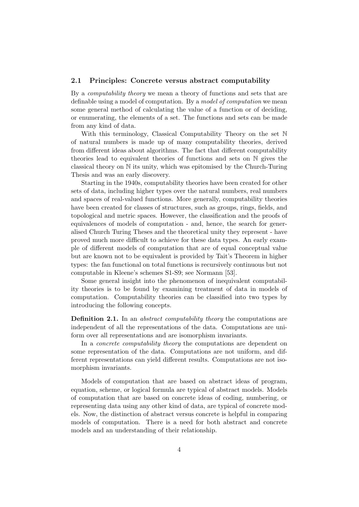### 2.1 Principles: Concrete versus abstract computability

By a computability theory we mean a theory of functions and sets that are definable using a model of computation. By a model of computation we mean some general method of calculating the value of a function or of deciding, or enumerating, the elements of a set. The functions and sets can be made from any kind of data.

With this terminology, Classical Computability Theory on the set N of natural numbers is made up of many computability theories, derived from different ideas about algorithms. The fact that different computability theories lead to equivalent theories of functions and sets on N gives the classical theory on N its unity, which was epitomised by the Church-Turing Thesis and was an early discovery.

Starting in the 1940s, computability theories have been created for other sets of data, including higher types over the natural numbers, real numbers and spaces of real-valued functions. More generally, computability theories have been created for classes of structures, such as groups, rings, fields, and topological and metric spaces. However, the classification and the proofs of equivalences of models of computation - and, hence, the search for generalised Church Turing Theses and the theoretical unity they represent - have proved much more difficult to achieve for these data types. An early example of different models of computation that are of equal conceptual value but are known not to be equivalent is provided by Tait's Theorem in higher types: the fan functional on total functions is recursively continuous but not computable in Kleene's schemes S1-S9; see Normann [53].

Some general insight into the phenomenon of inequivalent computability theories is to be found by examining treatment of data in models of computation. Computability theories can be classified into two types by introducing the following concepts.

Definition 2.1. In an *abstract computability theory* the computations are independent of all the representations of the data. Computations are uniform over all representations and are isomorphism invariants.

In a *concrete computability theory* the computations are dependent on some representation of the data. Computations are not uniform, and different representations can yield different results. Computations are not isomorphism invariants.

Models of computation that are based on abstract ideas of program, equation, scheme, or logical formula are typical of abstract models. Models of computation that are based on concrete ideas of coding, numbering, or representing data using any other kind of data, are typical of concrete models. Now, the distinction of abstract versus concrete is helpful in comparing models of computation. There is a need for both abstract and concrete models and an understanding of their relationship.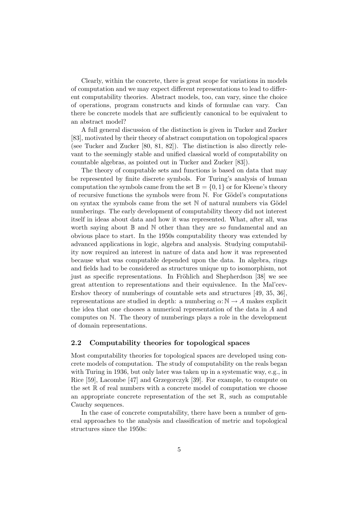Clearly, within the concrete, there is great scope for variations in models of computation and we may expect different representations to lead to different computability theories. Abstract models, too, can vary, since the choice of operations, program constructs and kinds of formulae can vary. Can there be concrete models that are sufficiently canonical to be equivalent to an abstract model?

A full general discussion of the distinction is given in Tucker and Zucker [83], motivated by their theory of abstract computation on topological spaces (see Tucker and Zucker [80, 81, 82]). The distinction is also directly relevant to the seemingly stable and unified classical world of computability on countable algebras, as pointed out in Tucker and Zucker [83]).

The theory of computable sets and functions is based on data that may be represented by finite discrete symbols. For Turing's analysis of human computation the symbols came from the set  $\mathbb{B} = \{0, 1\}$  or for Kleene's theory of recursive functions the symbols were from  $\mathbb N$ . For Gödel's computations on syntax the symbols came from the set  $\mathbb N$  of natural numbers via Gödel numberings. The early development of computability theory did not interest itself in ideas about data and how it was represented. What, after all, was worth saying about  $\mathbb B$  and  $\mathbb N$  other than they are so fundamental and an obvious place to start. In the 1950s computability theory was extended by advanced applications in logic, algebra and analysis. Studying computability now required an interest in nature of data and how it was represented because what was computable depended upon the data. In algebra, rings and fields had to be considered as structures unique up to isomorphism, not just as specific representations. In Fröhlich and Shepherdson [38] we see great attention to representations and their equivalence. In the Mal'cev-Ershov theory of numberings of countable sets and structures [49, 35, 36], representations are studied in depth: a numbering  $\alpha: \mathbb{N} \to A$  makes explicit the idea that one chooses a numerical representation of the data in A and computes on N. The theory of numberings plays a role in the development of domain representations.

### 2.2 Computability theories for topological spaces

Most computability theories for topological spaces are developed using concrete models of computation. The study of computability on the reals began with Turing in 1936, but only later was taken up in a systematic way, e.g., in Rice [59], Lacombe [47] and Grzegorczyk [39]. For example, to compute on the set  $\mathbb R$  of real numbers with a concrete model of computation we choose an appropriate concrete representation of the set  $\mathbb{R}$ , such as computable Cauchy sequences.

In the case of concrete computability, there have been a number of general approaches to the analysis and classification of metric and topological structures since the 1950s: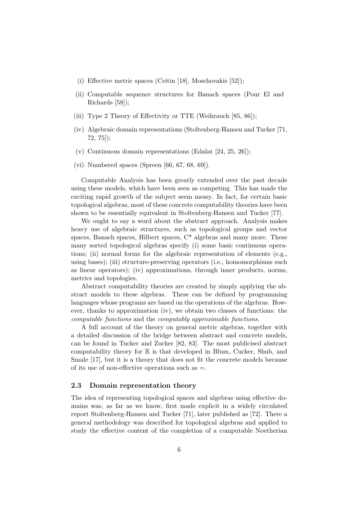- (i) Effective metric spaces (Ceitin [18], Moschovakis [52]);
- (ii) Computable sequence structures for Banach spaces (Pour El and Richards [58]);
- (iii) Type 2 Theory of Effectivity or TTE (Weihrauch [85, 86]);
- (iv) Algebraic domain representations (Stoltenberg-Hansen and Tucker [71, 72, 75]);
- (v) Continuous domain representations (Edalat [24, 25, 26]);
- (vi) Numbered spaces (Spreen [66, 67, 68, 69]).

Computable Analysis has been greatly extended over the past decade using these models, which have been seen as competing. This has made the exciting rapid growth of the subject seem messy. In fact, for certain basic topological algebras, most of these concrete computability theories have been shown to be essentially equivalent in Stoltenberg-Hansen and Tucker [77].

We ought to say a word about the abstract approach. Analysis makes heavy use of algebraic structures, such as topological groups and vector spaces, Banach spaces, Hilbert spaces, C\* algebras and many more. These many sorted topological algebras specify (i) some basic continuous operations; (ii) normal forms for the algebraic representation of elements (e.g., using bases); (iii) structure-preserving operators (i.e., homomorphisms such as linear operators); (iv) approximations, through inner products, norms, metrics and topologies.

Abstract computability theories are created by simply applying the abstract models to these algebras. These can be defined by programming languages whose programs are based on the operations of the algebras. However, thanks to approximation (iv), we obtain two classes of functions: the computable functions and the computably approximable functions.

A full account of the theory on general metric algebras, together with a detailed discussion of the bridge between abstract and concrete models, can be found in Tucker and Zucker [82, 83]. The most publicised abstract computability theory for  $\mathbb R$  is that developed in Blum, Cucker, Shub, and Smale [17], but it is a theory that does not fit the concrete models because of its use of non-effective operations such as  $=$ .

### 2.3 Domain representation theory

The idea of representing topological spaces and algebras using effective domains was, as far as we know, first made explicit in a widely circulated report Stoltenberg-Hansen and Tucker [71], later published as [72]. There a general methodology was described for topological algebras and applied to study the effective content of the completion of a computable Noetherian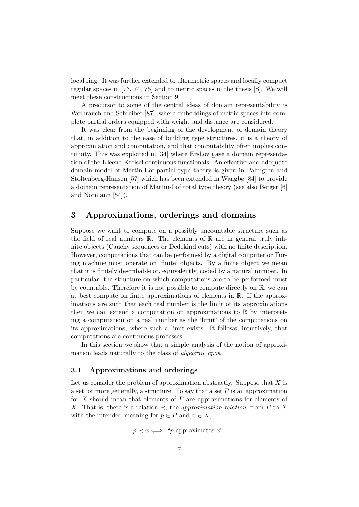local ring. It was further extended to ultrametric spaces and locally compact regular spaces in [73, 74, 75] and to metric spaces in the thesis [8]. We will meet these constructions in Section 9.

A precursor to some of the central ideas of domain representability is Weihrauch and Schreiber [87], where embeddings of metric spaces into complete partial orders equipped with weight and distance are considered.

It was clear from the beginning of the development of domain theory that, in addition to the ease of building type structures, it is a theory of approximation and computation, and that computability often implies continuity. This was exploited in [34] where Ershov gave a domain representation of the Kleene-Kreisel continuous functionals. An effective and adequate domain model of Martin-Löf partial type theory is given in Palmgren and Stoltenberg-Hansen [57] which has been extended in Waagbø [84] to provide a domain representation of Martin-Löf total type theory (see also Berger [6] and Normann [54]).

### 3 Approximations, orderings and domains

Suppose we want to compute on a possibly uncountable structure such as the field of real numbers  $\mathbb R$ . The elements of  $\mathbb R$  are in general truly infinite objects (Cauchy sequences or Dedekind cuts) with no finite description. However, computations that can be performed by a digital computer or Turing machine must operate on 'finite' objects. By a finite object we mean that it is finitely describable or, equivalently, coded by a natural number. In particular, the structure on which computations are to be performed must be countable. Therefore it is not possible to compute directly on R, we can at best compute on finite approximations of elements in R. If the approximations are such that each real number is the limit of its approximations then we can extend a computation on approximations to  $\mathbb R$  by interpreting a computation on a real number as the 'limit' of the computations on its approximations, where such a limit exists. It follows, intuitively, that computations are continuous processes.

In this section we show that a simple analysis of the notion of approximation leads naturally to the class of algebraic cpos.

### 3.1 Approximations and orderings

Let us consider the problem of approximation abstractly. Suppose that  $X$  is a set, or more generally, a structure. To say that a set  $P$  is an approximation for  $X$  should mean that elements of  $P$  are approximations for elements of X. That is, there is a relation  $\prec$ , the *approximation relation*, from P to X with the intended meaning for  $p \in P$  and  $x \in X$ ,

$$
p \prec x \iff "p
$$
 approximates x".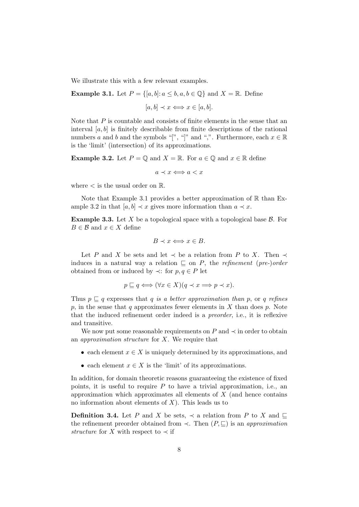We illustrate this with a few relevant examples.

**Example 3.1.** Let  $P = \{[a, b]: a \le b, a, b \in \mathbb{Q}\}\$  and  $X = \mathbb{R}$ . Define

 $[a, b] \prec x \Longleftrightarrow x \in [a, b].$ 

Note that  $P$  is countable and consists of finite elements in the sense that an interval  $[a, b]$  is finitely describable from finite descriptions of the rational numbers a and b and the symbols "[", "]" and ",". Furthermore, each  $x \in \mathbb{R}$ is the 'limit' (intersection) of its approximations.

**Example 3.2.** Let  $P = \mathbb{Q}$  and  $X = \mathbb{R}$ . For  $a \in \mathbb{Q}$  and  $x \in \mathbb{R}$  define

 $a \prec x \Longleftrightarrow a \prec x$ 

where  $\lt$  is the usual order on  $\mathbb{R}$ .

Note that Example 3.1 provides a better approximation of  $\mathbb R$  than Example 3.2 in that  $[a, b] \prec x$  gives more information than  $a \prec x$ .

**Example 3.3.** Let X be a topological space with a topological base  $\mathcal{B}$ . For  $B \in \mathcal{B}$  and  $x \in X$  define

$$
B \prec x \Longleftrightarrow x \in B.
$$

Let P and X be sets and let  $\prec$  be a relation from P to X. Then  $\prec$ induces in a natural way a relation  $\subseteq$  on P, the refinement (pre-)order obtained from or induced by  $\prec$ : for  $p, q \in P$  let

$$
p \sqsubseteq q \iff (\forall x \in X)(q \prec x \Longrightarrow p \prec x).
$$

Thus  $p \sqsubseteq q$  expresses that q is a better approximation than p, or q refines p, in the sense that q approximates fewer elements in  $X$  than does p. Note that the induced refinement order indeed is a preorder, i.e., it is reflexive and transitive.

We now put some reasonable requirements on P and  $\prec$  in order to obtain an *approximation structure* for  $X$ . We require that

- each element  $x \in X$  is uniquely determined by its approximations, and
- each element  $x \in X$  is the 'limit' of its approximations.

In addition, for domain theoretic reasons guaranteeing the existence of fixed points, it is useful to require  $P$  to have a trivial approximation, i.e., an approximation which approximates all elements of  $X$  (and hence contains no information about elements of  $X$ ). This leads us to

**Definition 3.4.** Let P and X be sets,  $\prec$  a relation from P to X and  $\sqsubset$ the refinement preorder obtained from  $\prec$ . Then  $(P, \subseteq)$  is an approximation structure for X with respect to  $\prec$  if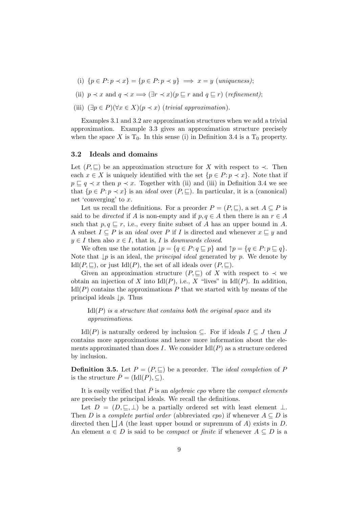- (i)  $\{p \in P : p \prec x\} = \{p \in P : p \prec y\} \implies x = y$  (uniqueness);
- (ii)  $p \prec x$  and  $q \prec x \Longrightarrow (\exists r \prec x)(p \sqsubset r \text{ and } q \sqsubset r)$  (refinement);
- (iii)  $(\exists p \in P)(\forall x \in X)(p \prec x)$  (trivial approximation).

Examples 3.1 and 3.2 are approximation structures when we add a trivial approximation. Example 3.3 gives an approximation structure precisely when the space X is  $T_0$ . In this sense (i) in Definition 3.4 is a  $T_0$  property.

### 3.2 Ideals and domains

Let  $(P, \subseteq)$  be an approximation structure for X with respect to  $\prec$ . Then each  $x \in X$  is uniquely identified with the set  $\{p \in P : p \prec x\}$ . Note that if  $p \sqsubseteq q \prec x$  then  $p \prec x$ . Together with (ii) and (iii) in Definition 3.4 we see that  $\{p \in P : p \prec x\}$  is an *ideal* over  $(P, \subseteq)$ . In particular, it is a (canonical) net 'converging' to x.

Let us recall the definitions. For a preorder  $P = (P, \square)$ , a set  $A \subseteq P$  is said to be directed if A is non-empty and if  $p, q \in A$  then there is an  $r \in A$ such that  $p, q \sqsubseteq r$ , i.e., every finite subset of A has an upper bound in A. A subset  $I \subseteq P$  is an *ideal* over P if I is directed and whenever  $x \subseteq y$  and  $y \in I$  then also  $x \in I$ , that is, I is *downwards closed.* 

We often use the notation  $\downarrow p = \{q \in P : q \sqsubseteq p\}$  and  $\uparrow p = \{q \in P : p \sqsubseteq q\}.$ Note that  $\downarrow p$  is an ideal, the *principal ideal* generated by p. We denote by  $\text{Idl}(P, \sqsubseteq)$ , or just  $\text{Idl}(P)$ , the set of all ideals over  $(P, \sqsubseteq)$ .

Given an approximation structure  $(P, \sqsubseteq)$  of X with respect to  $\prec$  we obtain an injection of X into  $\text{Id}(P)$ , i.e., X "lives" in  $\text{Id}(P)$ . In addition,  $\text{Idl}(P)$  contains the approximations P that we started with by means of the principal ideals  $\downarrow p$ . Thus

 $\text{Idl}(P)$  is a structure that contains both the original space and its approximations.

 $\text{Idl}(P)$  is naturally ordered by inclusion  $\subseteq$ . For if ideals  $I \subseteq J$  then J contains more approximations and hence more information about the elements approximated than does I. We consider  $\text{Id}(P)$  as a structure ordered by inclusion.

**Definition 3.5.** Let  $P = (P, \square)$  be a preorder. The *ideal completion* of P is the structure  $\overline{P} = (\text{Idl}(P), \subseteq)$ .

It is easily verified that  $P$  is an *algebraic cpo* where the *compact elements* are precisely the principal ideals. We recall the definitions.

Let  $D = (D, \subseteq, \perp)$  be a partially ordered set with least element  $\perp$ . Then D is a complete partial order (abbreviated cpo) if whenever  $A \subseteq D$  is directed then  $\Box A$  (the least upper bound or supremum of A) exists in D. An element  $a \in D$  is said to be *compact* or *finite* if whenever  $A \subseteq D$  is a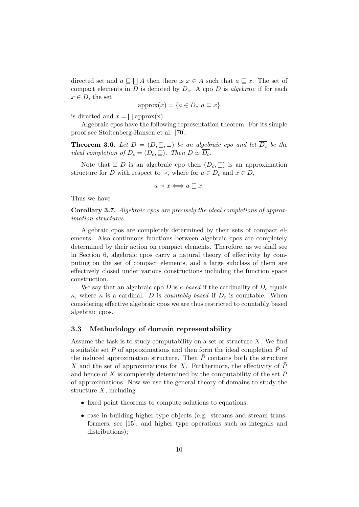directed set and  $a \subseteq \bigcup A$  then there is  $x \in A$  such that  $a \subseteq x$ . The set of compact elements in D is denoted by  $D_c$ . A cpo D is algebraic if for each  $x \in D$ , the set

$$
approx(x) = \{a \in D_c : a \sqsubseteq x\}
$$

is directed and  $x = \bigsqcup$  approx(x).

Algebraic cpos have the following representation theorem. For its simple proof see Stoltenberg-Hansen et al. [70].

**Theorem 3.6.** Let  $D = (D, \subseteq, \perp)$  be an algebraic cpo and let  $D_c$  be the ideal completion of  $D_c = (D_c, \sqsubseteq)$ . Then  $D \simeq D_c$ .

Note that if D is an algebraic cpo then  $(D_c, \subseteq)$  is an approximation structure for D with respect to  $\prec$ , where for  $a \in D_c$  and  $x \in D$ ,

$$
a \prec x \Longleftrightarrow a \sqsubseteq x.
$$

Thus we have

Corollary 3.7. Algebraic cpos are precisely the ideal completions of approximation structures.

Algebraic cpos are completely determined by their sets of compact elements. Also continuous functions between algebraic cpos are completely determined by their action on compact elements. Therefore, as we shall see in Section 6, algebraic cpos carry a natural theory of effectivity by computing on the set of compact elements, and a large subclass of them are effectively closed under various constructions including the function space construction.

We say that an algebraic cpo D is  $\kappa$ -based if the cardinality of  $D_c$  equals κ, where κ is a cardinal. D is countably based if  $D_c$  is countable. When considering effective algebraic cpos we are thus restricted to countably based algebraic cpos.

### 3.3 Methodology of domain representability

Assume the task is to study computability on a set or structure  $X$ . We find a suitable set P of approximations and then form the ideal completion  $\bar{P}$  of the induced approximation structure. Then  $\overline{P}$  contains both the structure X and the set of approximations for X. Furthermore, the effectivity of  $\bar{P}$ and hence of  $X$  is completely determined by the computability of the set  $P$ of approximations. Now we use the general theory of domains to study the structure  $X$ , including

- fixed point theorems to compute solutions to equations;
- ease in building higher type objects (e.g. streams and stream transformers, see [15], and higher type operations such as integrals and distributions);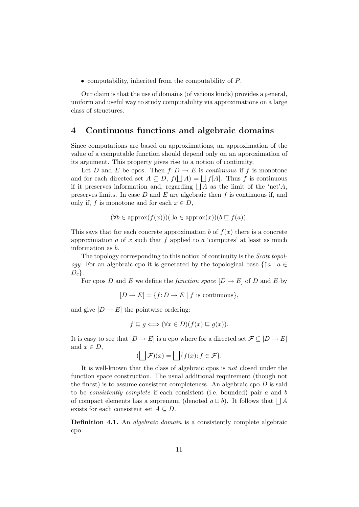• computability, inherited from the computability of P.

Our claim is that the use of domains (of various kinds) provides a general, uniform and useful way to study computability via approximations on a large class of structures.

### 4 Continuous functions and algebraic domains

Since computations are based on approximations, an approximation of the value of a computable function should depend only on an approximation of its argument. This property gives rise to a notion of continuity.

Let D and E be cpos. Then  $f: D \to E$  is continuous if f is monotone and for each directed set  $A \subseteq D$ ,  $f(\bigsqcup A) = \bigsqcup f[A]$ . Thus f is continuous if it preserves information and, regarding  $\Box A$  as the limit of the 'net'A, preserves limits. In case  $D$  and  $E$  are algebraic then  $f$  is continuous if, and only if, f is monotone and for each  $x \in D$ ,

$$
(\forall b \in \text{approx}(f(x)))(\exists a \in \text{approx}(x))(b \sqsubseteq f(a)).
$$

This says that for each concrete approximation b of  $f(x)$  there is a concrete approximation  $a$  of  $x$  such that  $f$  applied to  $a$  'computes' at least as much information as b.

The topology corresponding to this notion of continuity is the *Scott topol*ogy. For an algebraic cpo it is generated by the topological base  $\{\uparrow a : a \in$  $D_c$ .

For cpos D and E we define the function space  $[D \to E]$  of D and E by

$$
[D \to E] = \{ f : D \to E \mid f \text{ is continuous} \},
$$

and give  $[D \to E]$  the pointwise ordering:

$$
f \sqsubseteq g \Longleftrightarrow (\forall x \in D)(f(x) \sqsubseteq g(x)).
$$

It is easy to see that  $[D \to E]$  is a cpo where for a directed set  $\mathcal{F} \subseteq [D \to E]$ and  $x \in D$ ,

$$
(\bigsqcup \mathcal{F})(x) = \bigsqcup \{f(x) : f \in \mathcal{F}\}.
$$

It is well-known that the class of algebraic cpos is not closed under the function space construction. The usual additional requirement (though not the finest) is to assume consistent completeness. An algebraic cpo  $D$  is said to be consistently complete if each consistent (i.e. bounded) pair a and b of compact elements has a supremum (denoted  $a \sqcup b$ ). It follows that  $\sqcup A$ exists for each consistent set  $A \subseteq D$ .

Definition 4.1. An algebraic domain is a consistently complete algebraic cpo.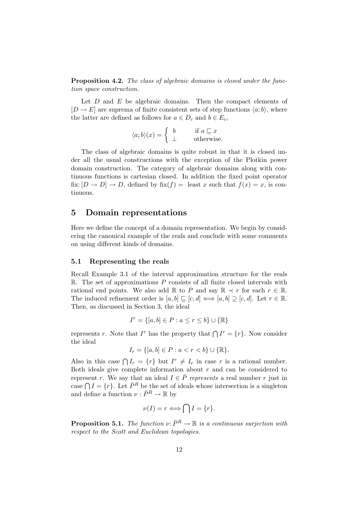Proposition 4.2. The class of algebraic domains is closed under the function space construction.

Let  $D$  and  $E$  be algebraic domains. Then the compact elements of  $[D \to E]$  are suprema of finite consistent sets of step functions  $\langle a; b \rangle$ , where the latter are defined as follows for  $a \in D_c$  and  $b \in E_c$ ,

$$
\langle a;b\rangle(x) = \begin{cases} b & \text{if } a \sqsubseteq x \\ \bot & \text{otherwise.} \end{cases}
$$

The class of algebraic domains is quite robust in that it is closed under all the usual constructions with the exception of the Plotkin power domain construction. The category of algebraic domains along with continuous functions is cartesian closed. In addition the fixed point operator fix:  $[D \to D] \to D$ , defined by fix $(f) =$  least x such that  $f(x) = x$ , is continuous.

### 5 Domain representations

Here we define the concept of a domain representation. We begin by considering the canonical example of the reals and conclude with some comments on using different kinds of domains.

#### 5.1 Representing the reals

Recall Example 3.1 of the interval approximation structure for the reals  $\mathbb{R}$ . The set of approximations P consists of all finite closed intervals with rational end points. We also add R to P and say  $\mathbb{R} \prec r$  for each  $r \in \mathbb{R}$ . The induced refinement order is  $[a, b] \sqsubseteq [c, d] \iff [a, b] \supseteq [c, d]$ . Let  $r \in \mathbb{R}$ . Then, as discussed in Section 3, the ideal

$$
I^r = \{ [a, b] \in P : a \le r \le b \} \cup \{ \mathbb{R} \}
$$

represents r. Note that I<sup>r</sup> has the property that  $\bigcap I^r = \{r\}$ . Now consider the ideal

$$
I_r = \{ [a, b] \in P : a < r < b \} \cup \{ \mathbb{R} \}.
$$

Also in this case  $\bigcap I_r = \{r\}$  but  $I^r \neq I_r$  in case r is a rational number. Both ideals give complete information about  $r$  and can be considered to represent r. We say that an ideal  $I \in \overline{P}$  represents a real number r just in case  $\bigcap I = \{r\}$ . Let  $\overline{P}^R$  be the set of ideals whose intersection is a singleton and define a function  $\nu : \bar{P}^R \to \mathbb{R}$  by

$$
\nu(I) = r \Longleftrightarrow \bigcap I = \{r\}.
$$

**Proposition 5.1.** The function  $v: \bar{P}^R \to \mathbb{R}$  is a continuous surjection with respect to the Scott and Euclidean topologies.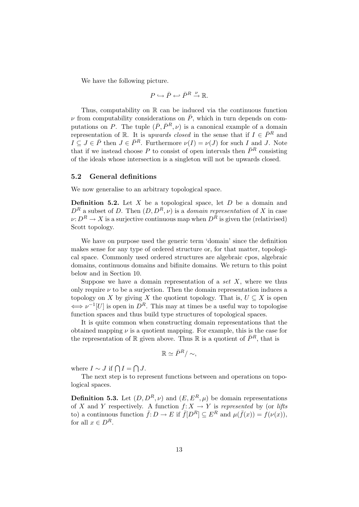We have the following picture.

$$
P\hookrightarrow \bar{P}\hookrightarrow \bar{P}^R\stackrel{\nu}{\rightarrow} \mathbb{R}.
$$

Thus, computability on  $\mathbb R$  can be induced via the continuous function  $\nu$  from computability considerations on  $\overline{P}$ , which in turn depends on computations on P. The tuple  $(\bar{P}, \bar{P}^R, \nu)$  is a canonical example of a domain representation of R. It is upwards closed in the sense that if  $I \in \bar{P}^R$  and  $I \subseteq J \in \overline{P}$  then  $J \in \overline{P}^R$ . Furthermore  $\nu(I) = \nu(J)$  for such I and J. Note that if we instead choose P to consist of open intervals then  $\bar{P}^R$  consisting of the ideals whose intersection is a singleton will not be upwards closed.

#### 5.2 General definitions

We now generalise to an arbitrary topological space.

**Definition 5.2.** Let X be a topological space, let D be a domain and  $D^R$  a subset of D. Then  $(D, D^R, \nu)$  is a *domain representation* of X in case  $\nu: D^R \to X$  is a surjective continuous map when  $D^R$  is given the (relativised) Scott topology.

We have on purpose used the generic term 'domain' since the definition makes sense for any type of ordered structure or, for that matter, topological space. Commonly used ordered structures are algebraic cpos, algebraic domains, continuous domains and bifinite domains. We return to this point below and in Section 10.

Suppose we have a domain representation of a set  $X$ , where we thus only require  $\nu$  to be a surjection. Then the domain representation induces a topology on X by giving X the quotient topology. That is,  $U \subseteq X$  is open  $\iff \nu^{-1}[U]$  is open in  $D^R$ . This may at times be a useful way to topologise function spaces and thus build type structures of topological spaces.

It is quite common when constructing domain representations that the obtained mapping  $\nu$  is a quotient mapping. For example, this is the case for the representation of R given above. Thus R is a quotient of  $\bar{P}^R$ , that is

$$
\mathbb{R} \simeq \bar{P}^R / \sim,
$$

where  $I \sim J$  if  $\bigcap I = \bigcap J$ .

The next step is to represent functions between and operations on topological spaces.

**Definition 5.3.** Let  $(D, D^R, \nu)$  and  $(E, E^R, \mu)$  be domain representations of X and Y respectively. A function  $f: X \to Y$  is represented by (or lifts to) a continuous function  $\bar{f}: D \to E$  if  $\bar{f}[D^R] \subseteq E^R$  and  $\mu(\bar{f}(x)) = f(\nu(x)),$ for all  $x \in D^R$ .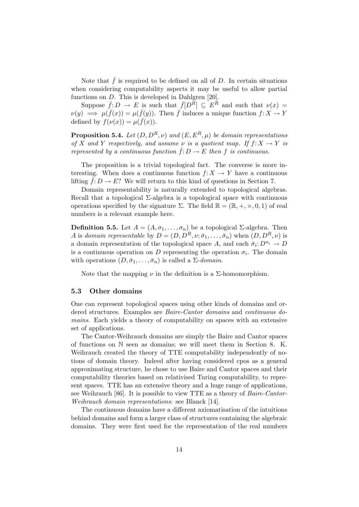Note that  $\bar{f}$  is required to be defined on all of D. In certain situations when considering computability aspects it may be useful to allow partial functions on D. This is developed in Dahlgren [20].

Suppose  $\bar{f}: D \to E$  is such that  $\bar{f}[D^R] \subseteq E^R$  and such that  $\nu(x) =$  $\nu(y) \implies \mu(\bar{f}(x)) = \mu(\bar{f}(y)).$  Then  $\bar{f}$  induces a unique function  $f: X \to Y$ defined by  $f(\nu(x)) = \mu(\bar{f}(x)).$ 

**Proposition 5.4.** Let  $(D, D^R, \nu)$  and  $(E, E^R, \mu)$  be domain representations of X and Y respectively, and assume  $\nu$  is a quotient map. If  $f: X \to Y$  is represented by a continuous function  $\bar{f}: D \to E$  then f is continuous.

The proposition is a trivial topological fact. The converse is more interesting. When does a continuous function  $f: X \to Y$  have a continuous lifting  $\bar{f}: D \to E$ ? We will return to this kind of questions in Section 7.

Domain representability is naturally extended to topological algebras. Recall that a topological  $\Sigma$ -algebra is a topological space with continuous operations specified by the signature  $\Sigma$ . The field  $\mathbb{R} = (\mathbb{R}, +, \times, 0, 1)$  of real numbers is a relevant example here.

**Definition 5.5.** Let  $A = (A, \sigma_1, \ldots, \sigma_n)$  be a topological  $\Sigma$ -algebra. Then A is domain representable by  $D = (D, D^R, \nu; \bar{\sigma}_1, \ldots, \bar{\sigma}_n)$  when  $(D, D^R, \nu)$  is a domain representation of the topological space A, and each  $\bar{\sigma}_i: D^{n_i} \to D$ is a continuous operation on D representing the operation  $\sigma_i$ . The domain with operations  $(D, \bar{\sigma}_1, \ldots, \bar{\sigma}_n)$  is called a  $\Sigma$ -domain.

Note that the mapping  $\nu$  in the definition is a  $\Sigma$ -homomorphism.

### 5.3 Other domains

One can represent topological spaces using other kinds of domains and ordered structures. Examples are Baire-Cantor domains and continuous domains. Each yields a theory of computability on spaces with an extensive set of applications.

The Cantor-Weihrauch domains are simply the Baire and Cantor spaces of functions on N seen as domains; we will meet them in Section 8. K. Weihrauch created the theory of TTE computability independently of notions of domain theory. Indeed after having considered cpos as a general approximating structure, he chose to use Baire and Cantor spaces and their computability theories based on relativised Turing computability, to represent spaces. TTE has an extensive theory and a huge range of applications, see Weihrauch [86]. It is possible to view TTE as a theory of Baire-Cantor-Weihrauch domain representations: see Blanck [14].

The continuous domains have a different axiomatisation of the intuitions behind domains and form a larger class of structures containing the algebraic domains. They were first used for the representation of the real numbers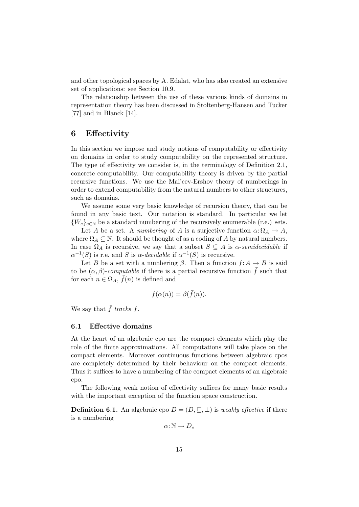and other topological spaces by A. Edalat, who has also created an extensive set of applications: see Section 10.9.

The relationship between the use of these various kinds of domains in representation theory has been discussed in Stoltenberg-Hansen and Tucker [77] and in Blanck [14].

### 6 Effectivity

In this section we impose and study notions of computability or effectivity on domains in order to study computability on the represented structure. The type of effectivity we consider is, in the terminology of Definition 2.1, concrete computability. Our computability theory is driven by the partial recursive functions. We use the Mal'cev-Ershov theory of numberings in order to extend computability from the natural numbers to other structures, such as domains.

We assume some very basic knowledge of recursion theory, that can be found in any basic text. Our notation is standard. In particular we let  ${W_e}_{e\in\mathbb{N}}$  be a standard numbering of the recursively enumerable (r.e.) sets.

Let A be a set. A numbering of A is a surjective function  $\alpha: \Omega_A \to A$ , where  $\Omega_A \subseteq \mathbb{N}$ . It should be thought of as a coding of A by natural numbers. In case  $\Omega_A$  is recursive, we say that a subset  $S \subseteq A$  is  $\alpha$ -semidecidable if  $\alpha^{-1}(S)$  is r.e. and S is  $\alpha$ -decidable if  $\alpha^{-1}(S)$  is recursive.

Let B be a set with a numbering  $\beta$ . Then a function  $f: A \to B$  is said to be  $(\alpha, \beta)$ -computable if there is a partial recursive function  $\bar{f}$  such that for each  $n \in \Omega_A$ ,  $\bar{f}(n)$  is defined and

$$
f(\alpha(n)) = \beta(\bar{f}(n)).
$$

We say that  $\bar{f}$  tracks f.

### 6.1 Effective domains

At the heart of an algebraic cpo are the compact elements which play the role of the finite approximations. All computations will take place on the compact elements. Moreover continuous functions between algebraic cpos are completely determined by their behaviour on the compact elements. Thus it suffices to have a numbering of the compact elements of an algebraic cpo.

The following weak notion of effectivity suffices for many basic results with the important exception of the function space construction.

**Definition 6.1.** An algebraic cpo  $D = (D, \subseteq, \perp)$  is weakly effective if there is a numbering

$$
\alpha \colon \mathbb{N} \to D_c
$$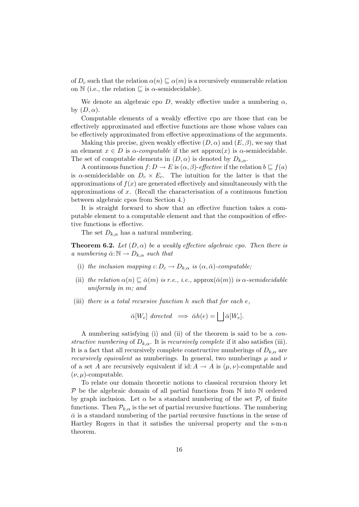of  $D_c$  such that the relation  $\alpha(n) \sqsubseteq \alpha(m)$  is a recursively enumerable relation on N (i.e., the relation  $\sqsubseteq$  is  $\alpha$ -semidecidable).

We denote an algebraic cpo D, weakly effective under a numbering  $\alpha$ , by  $(D, \alpha)$ .

Computable elements of a weakly effective cpo are those that can be effectively approximated and effective functions are those whose values can be effectively approximated from effective approximations of the arguments.

Making this precise, given weakly effective  $(D, \alpha)$  and  $(E, \beta)$ , we say that an element  $x \in D$  is  $\alpha$ -computable if the set approx(x) is  $\alpha$ -semidecidable. The set of computable elements in  $(D, \alpha)$  is denoted by  $D_{k,\alpha}$ .

A continuous function  $f: D \to E$  is  $(\alpha, \beta)$ -effective if the relation  $b \sqsubseteq f(a)$ is  $\alpha$ -semidecidable on  $D_c \times E_c$ . The intuition for the latter is that the approximations of  $f(x)$  are generated effectively and simultaneously with the approximations of x. (Recall the characterisation of a continuous function between algebraic cpos from Section 4.)

It is straight forward to show that an effective function takes a computable element to a computable element and that the composition of effective functions is effective.

The set  $D_{k,\alpha}$  has a natural numbering.

**Theorem 6.2.** Let  $(D, \alpha)$  be a weakly effective algebraic cpo. Then there is a numbering  $\bar{\alpha}: \mathbb{N} \to D_{k,\alpha}$  such that

- (i) the inclusion mapping  $\iota: D_c \to D_{k,\alpha}$  is  $(\alpha, \bar{\alpha})$ -computable;
- (ii) the relation  $\alpha(n) \sqsubseteq \bar{\alpha}(m)$  is r.e., i.e., approx( $\bar{\alpha}(m)$ ) is  $\alpha$ -semidecidable uniformly in m; and
- (iii) there is a total recursive function  $h$  such that for each  $e$ ,

$$
\bar{\alpha}[W_e] \ \ directed \ \implies \bar{\alpha}h(e) = \bigsqcup \bar{\alpha}[W_e].
$$

A numbering satisfying (i) and (ii) of the theorem is said to be a constructive numbering of  $D_{k,\alpha}$ . It is recursively complete if it also satisfies (iii). It is a fact that all recursively complete constructive numberings of  $D_{k,\alpha}$  are *recursively equivalent* as numberings. In general, two numberings  $\mu$  and  $\nu$ of a set A are recursively equivalent if id:  $A \to A$  is  $(\mu, \nu)$ -computable and  $(\nu, \mu)$ -computable.

To relate our domain theoretic notions to classical recursion theory let  $P$  be the algebraic domain of all partial functions from  $N$  into  $N$  ordered by graph inclusion. Let  $\alpha$  be a standard numbering of the set  $\mathcal{P}_c$  of finite functions. Then  $P_{k,\alpha}$  is the set of partial recursive functions. The numbering  $\bar{\alpha}$  is a standard numbering of the partial recursive functions in the sense of Hartley Rogers in that it satisfies the universal property and the s-m-n theorem.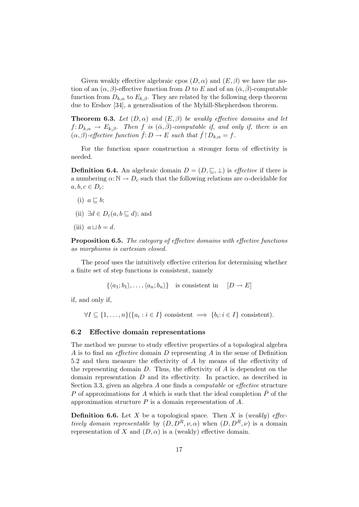Given weakly effective algebraic cpos  $(D, \alpha)$  and  $(E, \beta)$  we have the notion of an  $(\alpha, \beta)$ -effective function from D to E and of an  $(\bar{\alpha}, \bar{\beta})$ -computable function from  $D_{k,\alpha}$  to  $E_{k,\beta}$ . They are related by the following deep theorem due to Ershov [34], a generalisation of the Myhill-Shepherdson theorem.

**Theorem 6.3.** Let  $(D, \alpha)$  and  $(E, \beta)$  be weakly effective domains and let  $f: D_{k,\alpha} \to E_{k,\beta}$ . Then f is  $(\bar{\alpha}, \bar{\beta})$ -computable if, and only if, there is an  $(\alpha, \beta)$ -effective function  $\bar{f}: D \to E$  such that  $\bar{f} \upharpoonright D_{k,\alpha} = f$ .

For the function space construction a stronger form of effectivity is needed.

**Definition 6.4.** An algebraic domain  $D = (D, \subseteq, \perp)$  is *effective* if there is a numbering  $\alpha: \mathbb{N} \to D_c$  such that the following relations are  $\alpha$ -decidable for  $a, b, c \in D_c$ :

- (i)  $a \sqsubseteq b$ ;
- (ii)  $\exists d \in D_c(a, b \sqsubseteq d)$ ; and
- (iii)  $a \sqcup b = d$ .

Proposition 6.5. The category of effective domains with effective functions as morphisms is cartesian closed.

The proof uses the intuitively effective criterion for determining whether a finite set of step functions is consistent, namely

 $\{\langle a_1; b_1\rangle, \ldots, \langle a_n; b_n\rangle\}$  is consistent in  $[D \to E]$ 

if, and only if,

```
\forall I \subseteq \{1, \ldots, n\} (\{a_i : i \in I\} \text{ consistent} \implies \{b_i : i \in I\} \text{ consistent}).
```
### 6.2 Effective domain representations

The method we pursue to study effective properties of a topological algebra A is to find an *effective* domain D representing A in the sense of Definition 5.2 and then measure the effectivity of A by means of the effectivity of the representing domain  $D$ . Thus, the effectivity of  $A$  is dependent on the domain representation D and its effectivity. In practice, as described in Section 3.3, given an algebra A one finds a computable or effective structure P of approximations for A which is such that the ideal completion  $\bar{P}$  of the approximation structure  $P$  is a domain representation of  $A$ .

**Definition 6.6.** Let X be a topological space. Then X is (weakly) effectively domain representable by  $(D, D^R, \nu, \alpha)$  when  $(D, D^R, \nu)$  is a domain representation of X and  $(D, \alpha)$  is a (weakly) effective domain.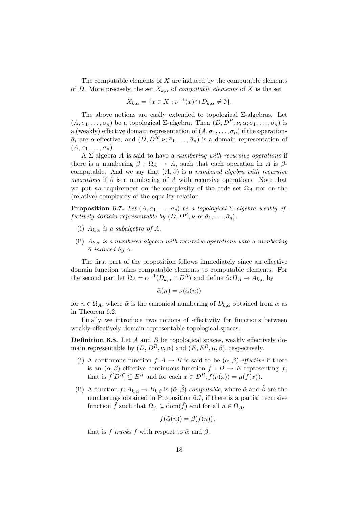The computable elements of  $X$  are induced by the computable elements of D. More precisely, the set  $X_{k,\alpha}$  of *computable elements* of X is the set

$$
X_{k,\alpha} = \{ x \in X : \nu^{-1}(x) \cap D_{k,\alpha} \neq \emptyset \}.
$$

The above notions are easily extended to topological  $\Sigma$ -algebras. Let  $(A, \sigma_1, \ldots, \sigma_n)$  be a topological  $\Sigma$ -algebra. Then  $(D, D^R, \nu, \alpha; \bar{\sigma}_1, \ldots, \bar{\sigma}_n)$  is a (weakly) effective domain representation of  $(A, \sigma_1, \ldots, \sigma_n)$  if the operations  $\bar{\sigma}_i$  are  $\alpha$ -effective, and  $(D, D^R, \nu; \bar{\sigma}_1, \ldots, \bar{\sigma}_n)$  is a domain representation of  $(A, \sigma_1, \ldots, \sigma_n).$ 

A Σ-algebra A is said to have a numbering with recursive operations if there is a numbering  $\beta$ :  $\Omega_A \rightarrow A$ , such that each operation in A is  $\beta$ computable. And we say that  $(A, \beta)$  is a numbered algebra with recursive *operations* if  $\beta$  is a numbering of A with recursive operations. Note that we put *no* requirement on the complexity of the code set  $\Omega_A$  nor on the (relative) complexity of the equality relation.

**Proposition 6.7.** Let  $(A, \sigma_1, \ldots, \sigma_q)$  be a topological  $\Sigma$ -algebra weakly effectively domain representable by  $(D, D^R, \nu, \alpha; \bar{\sigma}_1, \ldots, \bar{\sigma}_q)$ .

- (i)  $A_{k,\alpha}$  is a subalgebra of A.
- (ii)  $A_{k,\alpha}$  is a numbered algebra with recursive operations with a numbering  $\tilde{\alpha}$  induced by  $\alpha$ .

The first part of the proposition follows immediately since an effective domain function takes computable elements to computable elements. For the second part let  $\Omega_A = \bar{\alpha}^{-1}(D_{k,\alpha} \cap D^R)$  and define  $\tilde{\alpha}: \Omega_A \to A_{k,\alpha}$  by

$$
\tilde{\alpha}(n) = \nu(\bar{\alpha}(n))
$$

for  $n \in \Omega_A$ , where  $\bar{\alpha}$  is the canonical numbering of  $D_{k,\alpha}$  obtained from  $\alpha$  as in Theorem 6.2.

Finally we introduce two notions of effectivity for functions between weakly effectively domain representable topological spaces.

**Definition 6.8.** Let  $A$  and  $B$  be topological spaces, weakly effectively domain representable by  $(D, D^R, \nu, \alpha)$  and  $(E, E^R, \mu, \beta)$ , respectively.

- (i) A continuous function  $f: A \to B$  is said to be  $(\alpha, \beta)$ -effective if there is an  $(\alpha, \beta)$ -effective continuous function  $\bar{f}: D \to E$  representing f, that is  $\overline{f}[D^R] \subseteq E^R$  and for each  $x \in D^R$ ,  $f(\nu(x)) = \mu(\overline{f}(x))$ .
- (ii) A function  $f: A_{k,\alpha} \to B_{k,\beta}$  is  $(\tilde{\alpha}, \tilde{\beta})$ -computable, where  $\tilde{\alpha}$  and  $\tilde{\beta}$  are the numberings obtained in Proposition 6.7, if there is a partial recursive function  $\tilde{f}$  such that  $\Omega_A \subseteq \text{dom}(\tilde{f})$  and for all  $n \in \Omega_A$ ,

$$
f(\tilde{\alpha}(n)) = \tilde{\beta}(\tilde{f}(n)),
$$

that is  $\tilde{f}$  tracks f with respect to  $\tilde{\alpha}$  and  $\tilde{\beta}$ .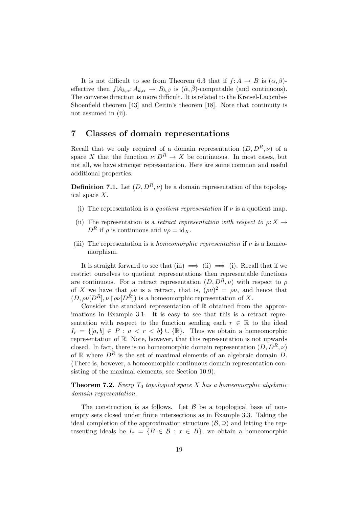It is not difficult to see from Theorem 6.3 that if  $f: A \to B$  is  $(\alpha, \beta)$ effective then  $f[A_{k,\alpha}: A_{k,\alpha} \to B_{k,\beta}$  is  $(\tilde{\alpha}, \tilde{\beta})$ -computable (and continuous). The converse direction is more difficult. It is related to the Kreisel-Lacombe-Shoenfield theorem [43] and Ceitin's theorem [18]. Note that continuity is not assumed in (ii).

### 7 Classes of domain representations

Recall that we only required of a domain representation  $(D, D^R, \nu)$  of a space X that the function  $\nu: D^R \to X$  be continuous. In most cases, but not all, we have stronger representation. Here are some common and useful additional properties.

**Definition 7.1.** Let  $(D, D^R, \nu)$  be a domain representation of the topological space X.

- (i) The representation is a *quotient representation* if  $\nu$  is a quotient map.
- (ii) The representation is a retract representation with respect to  $\rho: X \to Y$  $D^R$  if  $\rho$  is continuous and  $\nu \rho = \mathrm{id}_X$ .
- (iii) The representation is a *homeomorphic representation* if  $\nu$  is a homeomorphism.

It is straight forward to see that (iii)  $\implies$  (ii)  $\implies$  (i). Recall that if we restrict ourselves to quotient representations then representable functions are continuous. For a retract representation  $(D, D^R, \nu)$  with respect to  $\rho$ of X we have that  $\rho \nu$  is a retract, that is,  $(\rho \nu)^2 = \rho \nu$ , and hence that  $(D, \rho\nu[D^R], \nu \upharpoonright \rho\nu[D^R])$  is a homeomorphic representation of X.

Consider the standard representation of R obtained from the approximations in Example 3.1. It is easy to see that this is a retract representation with respect to the function sending each  $r \in \mathbb{R}$  to the ideal  $I_r = \{ [a, b] \in P : a < r < b \} \cup \{ \mathbb{R} \}.$  Thus we obtain a homeomorphic representation of R. Note, however, that this representation is not upwards closed. In fact, there is no homeomorphic domain representation  $(D, D^R, \nu)$ of R where  $D^R$  is the set of maximal elements of an algebraic domain D. (There is, however, a homeomorphic continuous domain representation consisting of the maximal elements, see Section 10.9).

**Theorem 7.2.** Every  $T_0$  topological space X has a homeomorphic algebraic domain representation.

The construction is as follows. Let  $\beta$  be a topological base of nonempty sets closed under finite intersections as in Example 3.3. Taking the ideal completion of the approximation structure  $(\mathcal{B}, \supseteq)$  and letting the representing ideals be  $I_x = \{B \in \mathcal{B} : x \in B\}$ , we obtain a homeomorphic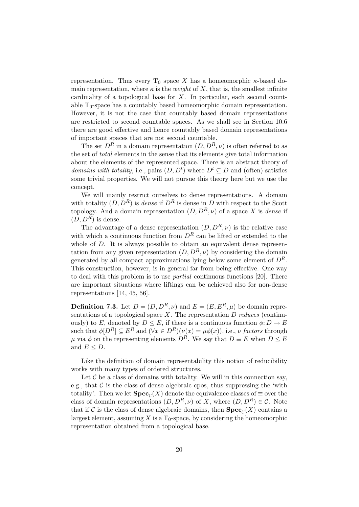representation. Thus every  $T_0$  space X has a homeomorphic  $\kappa$ -based domain representation, where  $\kappa$  is the *weight* of X, that is, the smallest infinite cardinality of a topological base for  $X$ . In particular, each second countable  $T_0$ -space has a countably based homeomorphic domain representation. However, it is not the case that countably based domain representations are restricted to second countable spaces. As we shall see in Section 10.6 there are good effective and hence countably based domain representations of important spaces that are not second countable.

The set  $D^{\tilde{R}}$  in a domain representation  $(D, D^R, \nu)$  is often referred to as the set of total elements in the sense that its elements give total information about the elements of the represented space. There is an abstract theory of domains with totality, i.e., pairs  $(D, D<sup>t</sup>)$  where  $D<sup>t</sup> \subseteq D$  and (often) satisfies some trivial properties. We will not pursue this theory here but we use the concept.

We will mainly restrict ourselves to dense representations. A domain with totality  $(D, D^R)$  is *dense* if  $D^R$  is dense in D with respect to the Scott topology. And a domain representation  $(D, D^R, \nu)$  of a space X is *dense* if  $(D, D<sup>R</sup>)$  is dense.

The advantage of a dense representation  $(D, D^R, \nu)$  is the relative ease with which a continuous function from  $D<sup>R</sup>$  can be lifted or extended to the whole of D. It is always possible to obtain an equivalent dense representation from any given representation  $(D, D^R, \nu)$  by considering the domain generated by all compact approximations lying below some element of  $D<sup>R</sup>$ . This construction, however, is in general far from being effective. One way to deal with this problem is to use partial continuous functions [20]. There are important situations where liftings can be achieved also for non-dense representations [14, 45, 56].

**Definition 7.3.** Let  $D = (D, D^R, \nu)$  and  $E = (E, E^R, \mu)$  be domain representations of a topological space  $X$ . The representation  $D$  reduces (continuously) to E, denoted by  $D \leq E$ , if there is a continuous function  $\phi: D \to E$ such that  $\phi[D^R] \subseteq E^R$  and  $(\forall x \in D^R)(\nu(x) = \mu \phi(x))$ , i.e.,  $\nu$  factors through  $\mu$  via  $\phi$  on the representing elements  $D^R$ . We say that  $D \equiv E$  when  $D \le E$ and  $E \leq D$ .

Like the definition of domain representability this notion of reducibility works with many types of ordered structures.

Let  $\mathcal C$  be a class of domains with totality. We will in this connection say, e.g., that  $\mathcal C$  is the class of dense algebraic cpos, thus suppressing the 'with totality'. Then we let  $\textbf{Spec}_{\mathcal{C}}(X)$  denote the equivalence classes of  $\equiv$  over the class of domain representations  $(D, D^R, \nu)$  of X, where  $(D, D^R) \in \mathcal{C}$ . Note that if C is the class of dense algebraic domains, then  $\textbf{Spec}_{\mathcal{C}}(X)$  contains a largest element, assuming X is a  $T_0$ -space, by considering the homeomorphic representation obtained from a topological base.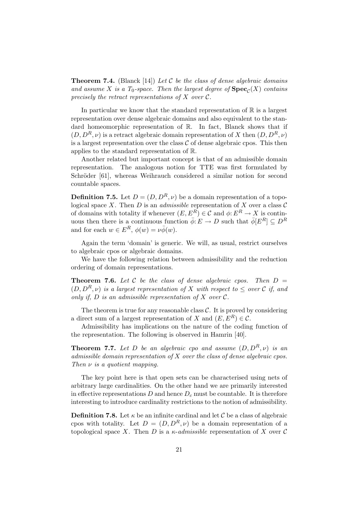**Theorem 7.4.** (Blanck [14]) Let C be the class of dense algebraic domains and assume X is a  $T_0$ -space. Then the largest degree of  $\text{Spec}_{\mathcal{C}}(X)$  contains precisely the retract representations of  $X$  over  $\mathcal{C}.$ 

In particular we know that the standard representation of  $\mathbb R$  is a largest representation over dense algebraic domains and also equivalent to the standard homeomorphic representation of R. In fact, Blanck shows that if  $(D, D^R, \nu)$  is a retract algebraic domain representation of X then  $(D, D^R, \nu)$ is a largest representation over the class  $\mathcal C$  of dense algebraic cpos. This then applies to the standard representation of R.

Another related but important concept is that of an admissible domain representation. The analogous notion for TTE was first formulated by Schröder [61], whereas Weihrauch considered a similar notion for second countable spaces.

**Definition 7.5.** Let  $D = (D, D^R, \nu)$  be a domain representation of a topological space X. Then D is an *admissible* representation of X over a class  $\mathcal C$ of domains with totality if whenever  $(E, E^R) \in \mathcal{C}$  and  $\phi: E^R \to X$  is continuous then there is a continuous function  $\bar{\phi}: E \to D$  such that  $\bar{\phi}[E^R] \subseteq D^R$ and for each  $w \in E^R$ ,  $\phi(w) = \nu \overline{\phi}(w)$ .

Again the term 'domain' is generic. We will, as usual, restrict ourselves to algebraic cpos or algebraic domains.

We have the following relation between admissibility and the reduction ordering of domain representations.

**Theorem 7.6.** Let C be the class of dense algebraic cpos. Then  $D =$  $(D, D^R, \nu)$  is a largest representation of X with respect to  $\leq$  over C if, and only if,  $D$  is an admissible representation of  $X$  over  $C$ .

The theorem is true for any reasonable class  $C$ . It is proved by considering a direct sum of a largest representation of X and  $(E, E^R) \in \mathcal{C}$ .

Admissibility has implications on the nature of the coding function of the representation. The following is observed in Hamrin [40].

**Theorem 7.7.** Let D be an algebraic cpo and assume  $(D, D^R, \nu)$  is an admissible domain representation of  $X$  over the class of dense algebraic cpos. Then  $\nu$  is a quotient mapping.

The key point here is that open sets can be characterised using nets of arbitrary large cardinalities. On the other hand we are primarily interested in effective representations  $D$  and hence  $D<sub>c</sub>$  must be countable. It is therefore interesting to introduce cardinality restrictions to the notion of admissibility.

**Definition 7.8.** Let  $\kappa$  be an infinite cardinal and let C be a class of algebraic cpos with totality. Let  $D = (D, D^R, \nu)$  be a domain representation of a topological space X. Then D is a  $\kappa$ -admissible representation of X over C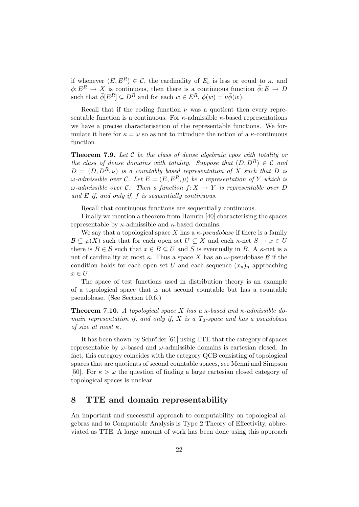if whenever  $(E, E^R) \in \mathcal{C}$ , the cardinality of  $E_c$  is less or equal to  $\kappa$ , and  $\phi: E^R \to X$  is continuous, then there is a continuous function  $\overline{\phi}: E \to D$ such that  $\bar{\phi}[E^R] \subseteq D^R$  and for each  $w \in E^R$ ,  $\phi(w) = \nu \bar{\phi}(w)$ .

Recall that if the coding function  $\nu$  was a quotient then every representable function is a continuous. For  $\kappa$ -admissible  $\kappa$ -based representations we have a precise characterisation of the representable functions. We formulate it here for  $\kappa = \omega$  so as not to introduce the notion of a  $\kappa$ -continuous function.

**Theorem 7.9.** Let  $C$  be the class of dense algebraic cpos with totality or the class of dense domains with totality. Suppose that  $(D, D^R) \in \mathcal{C}$  and  $D = (D, D<sup>R</sup>, \nu)$  is a countably based representation of X such that D is  $\omega$ -admissible over C. Let  $E = (E, E^R, \mu)$  be a representation of Y which is  $\omega$ -admissible over C. Then a function  $f: X \to Y$  is representable over D and  $E$  if, and only if,  $f$  is sequentially continuous.

Recall that continuous functions are sequentially continuous.

Finally we mention a theorem from Hamrin [40] characterising the spaces representable by  $\kappa$ -admissible and  $\kappa$ -based domains.

We say that a topological space X has a  $\kappa$ -pseudobase if there is a family  $\mathcal{B} \subseteq \varphi(X)$  such that for each open set  $U \subseteq X$  and each  $\kappa$ -net  $S \to x \in U$ there is  $B \in \mathcal{B}$  such that  $x \in B \subset U$  and S is eventually in B. A  $\kappa$ -net is a net of cardinality at most  $\kappa$ . Thus a space X has an  $\omega$ -pseudobase  $\beta$  if the condition holds for each open set U and each sequence  $(x_n)_n$  approaching  $x \in U$ .

The space of test functions used in distribution theory is an example of a topological space that is not second countable but has a countable pseudobase. (See Section 10.6.)

**Theorem 7.10.** A topological space X has a  $\kappa$ -based and  $\kappa$ -admissible domain representation if, and only if, X is a  $T_0$ -space and has a pseudobase of size at most  $\kappa$ .

It has been shown by Schröder [61] using TTE that the category of spaces representable by  $\omega$ -based and  $\omega$ -admissible domains is cartesian closed. In fact, this category coincides with the category QCB consisting of topological spaces that are quotients of second countable spaces, see Menni and Simpson [50]. For  $\kappa > \omega$  the question of finding a large cartesian closed category of topological spaces is unclear.

### 8 TTE and domain representability

An important and successful approach to computability on topological algebras and to Computable Analysis is Type 2 Theory of Effectivity, abbreviated as TTE. A large amount of work has been done using this approach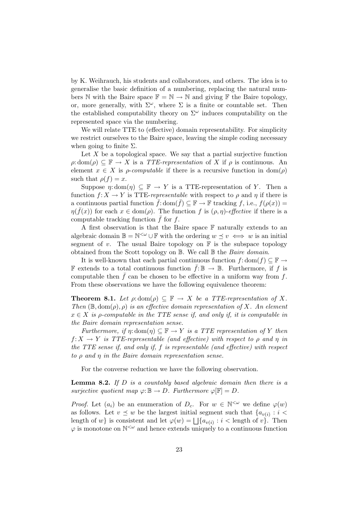by K. Weihrauch, his students and collaborators, and others. The idea is to generalise the basic definition of a numbering, replacing the natural numbers N with the Baire space  $\mathbb{F} = \mathbb{N} \to \mathbb{N}$  and giving  $\mathbb{F}$  the Baire topology, or, more generally, with  $\Sigma^{\omega}$ , where  $\Sigma$  is a finite or countable set. Then the established computability theory on  $\Sigma^{\omega}$  induces computability on the represented space via the numbering.

We will relate TTE to (effective) domain representability. For simplicity we restrict ourselves to the Baire space, leaving the simple coding necessary when going to finite  $\Sigma$ .

Let  $X$  be a topological space. We say that a partial surjective function  $\rho: dom(\rho) \subseteq \mathbb{F} \to X$  is a *TTE-representation* of X if  $\rho$  is continuous. An element  $x \in X$  is  $\rho$ -computable if there is a recursive function in  $dom(\rho)$ such that  $\rho(f) = x$ .

Suppose  $\eta: dom(\eta) \subseteq \mathbb{F} \to Y$  is a TTE-representation of Y. Then a function  $f: X \to Y$  is TTE-representable with respect to  $\rho$  and  $\eta$  if there is a continuous partial function  $\bar{f}$ : dom $(\bar{f}) \subseteq \mathbb{F} \to \mathbb{F}$  tracking f, i.e.,  $f(\rho(x)) =$  $\eta(\bar{f}(x))$  for each  $x \in \text{dom}(\rho)$ . The function f is  $(\rho, \eta)$ -effective if there is a computable tracking function  $f$  for  $f$ .

A first observation is that the Baire space  $\mathbb F$  naturally extends to an algebraic domain  $\mathbb{B} = \mathbb{N}^{\leq \omega} \cup \mathbb{F}$  with the ordering  $w \preceq v \iff w$  is an initial segment of v. The usual Baire topology on  $\mathbb F$  is the subspace topology obtained from the Scott topology on B. We call B the Baire domain.

It is well-known that each partial continuous function  $f: dom(f) \subseteq \mathbb{F} \rightarrow$ **F** extends to a total continuous function  $\bar{f}: \mathbb{B} \to \mathbb{B}$ . Furthermore, if f is computable then  $\bar{f}$  can be chosen to be effective in a uniform way from f. From these observations we have the following equivalence theorem:

**Theorem 8.1.** Let  $\rho: dom(\rho) \subseteq \mathbb{F} \to X$  be a TTE-representation of X. Then  $(\mathbb{B}, \text{dom}(\rho), \rho)$  is an effective domain representation of X. An element  $x \in X$  is  $\rho$ -computable in the TTE sense if, and only if, it is computable in the Baire domain representation sense.

Furthermore, if  $\eta: dom(\eta) \subseteq \mathbb{F} \to Y$  is a TTE representation of Y then  $f: X \to Y$  is TTE-representable (and effective) with respect to  $\rho$  and  $\eta$  in the TTE sense if, and only if, f is representable (and effective) with respect to  $\rho$  and  $\eta$  in the Baire domain representation sense.

For the converse reduction we have the following observation.

**Lemma 8.2.** If  $D$  is a countably based algebraic domain then there is a surjective quotient map  $\varphi: \mathbb{B} \to D$ . Furthermore  $\varphi[\mathbb{F}] = D$ .

*Proof.* Let  $(a_i)$  be an enumeration of  $D_c$ . For  $w \in \mathbb{N}^{\leq \omega}$  we define  $\varphi(w)$ as follows. Let  $v \preceq w$  be the largest initial segment such that  $\{a_{v(i)} : i <$ length of w} is consistent and let  $\varphi(w) = \bigsqcup \{a_{v(i)} : i < \text{length of } v\}$ . Then  $\varphi$  is monotone on  $\mathbb{N}^{\leq \omega}$  and hence extends uniquely to a continuous function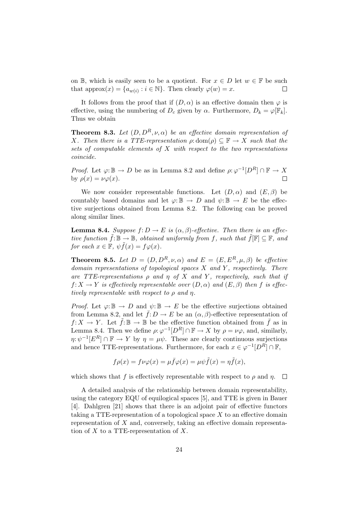on B, which is easily seen to be a quotient. For  $x \in D$  let  $w \in \mathbb{F}$  be such that approx $(x) = \{a_{w(i)} : i \in \mathbb{N}\}\$ . Then clearly  $\varphi(w) = x$ .  $\Box$ 

It follows from the proof that if  $(D, \alpha)$  is an effective domain then  $\varphi$  is effective, using the numbering of  $D_c$  given by  $\alpha$ . Furthermore,  $D_k = \varphi[\mathbb{F}_k]$ . Thus we obtain

**Theorem 8.3.** Let  $(D, D^R, \nu, \alpha)$  be an effective domain representation of X. Then there is a TTE-representation  $\rho: dom(\rho) \subseteq \mathbb{F} \to X$  such that the sets of computable elements of  $X$  with respect to the two representations coincide.

*Proof.* Let  $\varphi: \mathbb{B} \to D$  be as in Lemma 8.2 and define  $\rho: \varphi^{-1}[D^R] \cap \mathbb{F} \to X$ by  $\rho(x) = \nu \varphi(x)$ .  $\Box$ 

We now consider representable functions. Let  $(D, \alpha)$  and  $(E, \beta)$  be countably based domains and let  $\varphi: \mathbb{B} \to D$  and  $\psi: \mathbb{B} \to E$  be the effective surjections obtained from Lemma 8.2. The following can be proved along similar lines.

**Lemma 8.4.** Suppose  $f: D \to E$  is  $(\alpha, \beta)$ -effective. Then there is an effective function  $f: \mathbb{B} \to \mathbb{B}$ , obtained uniformly from f, such that  $f[\mathbb{F}] \subseteq \mathbb{F}$ , and for each  $x \in \mathbb{F}$ ,  $\psi \tilde{f}(x) = f \varphi(x)$ .

**Theorem 8.5.** Let  $D = (D, D^R, \nu, \alpha)$  and  $E = (E, E^R, \mu, \beta)$  be effective domain representations of topological spaces  $X$  and  $Y$ , respectively. There are TTE-representations  $\rho$  and  $\eta$  of X and Y, respectively, such that if  $f: X \to Y$  is effectively representable over  $(D, \alpha)$  and  $(E, \beta)$  then f is effectively representable with respect to  $\rho$  and  $\eta$ .

*Proof.* Let  $\varphi: \mathbb{B} \to D$  and  $\psi: \mathbb{B} \to E$  be the effective surjections obtained from Lemma 8.2, and let  $\bar{f}: D \to E$  be an  $(\alpha, \beta)$ -effective representation of  $f: X \to Y$ . Let  $\tilde{f}: \mathbb{B} \to \mathbb{B}$  be the effective function obtained from  $\bar{f}$  as in Lemma 8.4. Then we define  $\rho: \varphi^{-1}[D^R] \cap \mathbb{F} \to X$  by  $\rho = \nu \varphi$ , and, similarly,  $\eta: \psi^{-1}[E^R] \cap \mathbb{F} \to Y$  by  $\eta = \mu \psi$ . These are clearly continuous surjections and hence TTE-representations. Furthermore, for each  $x \in \varphi^{-1}[D^R] \cap \mathbb{F}$ ,

$$
f\rho(x) = f\nu\varphi(x) = \mu \bar{f}\varphi(x) = \mu \psi \tilde{f}(x) = \eta \tilde{f}(x),
$$

which shows that f is effectively representable with respect to  $\rho$  and  $\eta$ .

A detailed analysis of the relationship between domain representability, using the category EQU of equilogical spaces [5], and TTE is given in Bauer [4]. Dahlgren [21] shows that there is an adjoint pair of effective functors taking a TTE-representation of a topological space  $X$  to an effective domain representation of X and, conversely, taking an effective domain representation of  $X$  to a TTE-representation of  $X$ .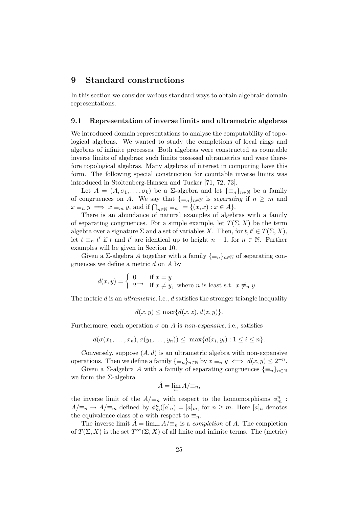### 9 Standard constructions

In this section we consider various standard ways to obtain algebraic domain representations.

### 9.1 Representation of inverse limits and ultrametric algebras

We introduced domain representations to analyse the computability of topological algebras. We wanted to study the completions of local rings and algebras of infinite processes. Both algebras were constructed as countable inverse limits of algebras; such limits posessed ultrametrics and were therefore topological algebras. Many algebras of interest in computing have this form. The following special construction for countable inverse limits was introduced in Stoltenberg-Hansen and Tucker [71, 72, 73].

Let  $A = (A, \sigma_1, \ldots, \sigma_k)$  be a  $\Sigma$ -algebra and let  $\{\equiv_n\}_{n\in\mathbb{N}}$  be a family of congruences on A. We say that  $\{\equiv_n\}_{n\in\mathbb{N}}$  is separating if  $n \geq m$  and  $x \equiv_n y \implies x \equiv_m y$ , and if  $\bigcap_{n \in \mathbb{N}} \equiv_n = \{(x, x) : x \in A\}.$ 

There is an abundance of natural examples of algebras with a family of separating congruences. For a simple example, let  $T(\Sigma, X)$  be the term algebra over a signature  $\Sigma$  and a set of variables X. Then, for  $t, t' \in T(\Sigma, X)$ , let  $t \equiv_n t'$  if t and t' are identical up to height  $n-1$ , for  $n \in \mathbb{N}$ . Further examples will be given in Section 10.

Given a ∑-algebra A together with a family  $\{\equiv_n\}_{n\in\mathbb{N}}$  of separating congruences we define a metric  $d$  on  $A$  by

$$
d(x,y) = \begin{cases} 0 & \text{if } x = y \\ 2^{-n} & \text{if } x \neq y, \text{ where } n \text{ is least s.t. } x \neq_n y. \end{cases}
$$

The metric  $d$  is an *ultrametric*, i.e.,  $d$  satisfies the stronger triangle inequality

$$
d(x, y) \le \max\{d(x, z), d(z, y)\}.
$$

Furthermore, each operation  $\sigma$  on A is non-expansive, i.e., satisfies

$$
d(\sigma(x_1,\ldots,x_n),\sigma(y_1,\ldots,y_n))\leq \max\{d(x_i,y_i):1\leq i\leq n\}.
$$

Conversely, suppose  $(A, d)$  is an ultrametric algebra with non-expansive operations. Then we define a family  $\{\equiv_n\}_{n\in\mathbb{N}}$  by  $x \equiv_n y \iff d(x,y) \leq 2^{-n}$ .

Given a  $\Sigma$ -algebra A with a family of separating congruences  $\{\equiv_n\}_{n\in\mathbb{N}}$ we form the Σ-algebra

$$
\hat{A} = \lim_{n \to \infty} A / \equiv_n,
$$

the inverse limit of the  $A/\equiv_n$  with respect to the homomorphisms  $\phi_m^n$ :  $A/\equiv_n \to A/\equiv_m$  defined by  $\phi_m^n([a]_n) = [a]_m$ , for  $n \geq m$ . Here  $[a]_n$  denotes the equivalence class of a with respect to  $\equiv_n$ .

The inverse limit  $A = \lim_{k \to \infty} A/\equiv_n$  is a *completion* of A. The completion of  $T(\Sigma, X)$  is the set  $T^{\infty}(\Sigma, X)$  of all finite and infinite terms. The (metric)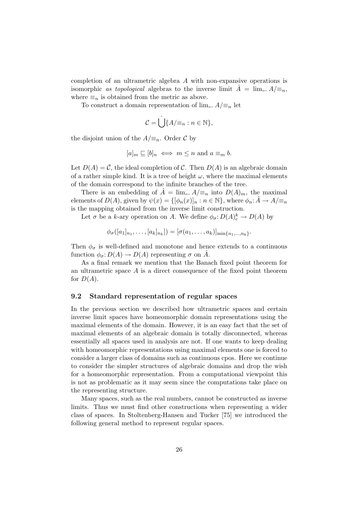completion of an ultrametric algebra A with non-expansive operations is isomorphic as topological algebras to the inverse limit  $\hat{A} = \lim_{k \to \infty} A/\equiv_n$ , where  $\equiv_n$  is obtained from the metric as above.

To construct a domain representation of  $\lim_{\leftarrow} A/\equiv_n \text{let}$ 

$$
\mathcal{C} = \bigcup \{ A / \equiv_n : n \in \mathbb{N} \},\
$$

the disjoint union of the  $A/\equiv_n$ . Order C by

$$
[a]_m \sqsubseteq [b]_n \iff m \leq n \text{ and } a \equiv_m b.
$$

Let  $D(A) = \overline{C}$ , the ideal completion of C. Then  $D(A)$  is an algebraic domain of a rather simple kind. It is a tree of height  $\omega$ , where the maximal elements of the domain correspond to the infinite branches of the tree.

There is an embedding of  $A = \lim_{k \to \infty} A/\equiv_n$  into  $D(A)_m$ , the maximal elements of  $D(A)$ , given by  $\psi(x) = \{ [\phi_n(x)]_n : n \in \mathbb{N} \}$ , where  $\phi_n : A \to A/\equiv_n$ is the mapping obtained from the inverse limit construction.

Let  $\sigma$  be a k-ary operation on A. We define  $\phi_{\sigma}: D(A)_{c}^{k} \to D(A)$  by

$$
\phi_{\sigma}([a_1]_{n_1},\ldots,[a_k]_{n_k}]) = [\sigma(a_1,\ldots,a_k)]_{\min\{n_1,\ldots,n_k\}}.
$$

Then  $\phi_{\sigma}$  is well-defined and monotone and hence extends to a continuous function  $\phi_{\sigma}: D(A) \to D(A)$  representing  $\sigma$  on A.

As a final remark we mention that the Banach fixed point theorem for an ultrametric space  $A$  is a direct consequence of the fixed point theorem for  $D(A)$ .

#### 9.2 Standard representation of regular spaces

In the previous section we described how ultrametric spaces and certain inverse limit spaces have homeomorphic domain representations using the maximal elements of the domain. However, it is an easy fact that the set of maximal elements of an algebraic domain is totally disconnected, whereas essentially all spaces used in analysis are not. If one wants to keep dealing with homeomorphic representations using maximal elements one is forced to consider a larger class of domains such as continuous cpos. Here we continue to consider the simpler structures of algebraic domains and drop the wish for a homeomorphic representation. From a computational viewpoint this is not as problematic as it may seem since the computations take place on the representing structure.

Many spaces, such as the real numbers, cannot be constructed as inverse limits. Thus we must find other constructions when representing a wider class of spaces. In Stoltenberg-Hansen and Tucker [75] we introduced the following general method to represent regular spaces.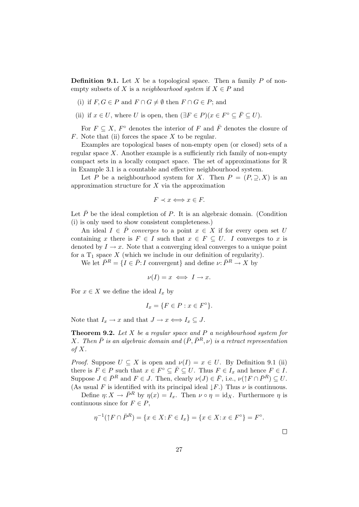**Definition 9.1.** Let X be a topological space. Then a family P of nonempty subsets of X is a *neighbourhood system* if  $X \in P$  and

- (i) if  $F, G \in P$  and  $F \cap G \neq \emptyset$  then  $F \cap G \in P$ ; and
- (ii) if  $x \in U$ , where U is open, then  $(\exists F \in P)(x \in F^{\circ} \subseteq \overline{F} \subseteq U)$ .

For  $F \subseteq X$ ,  $F^{\circ}$  denotes the interior of F and  $\overline{F}$  denotes the closure of  $F$ . Note that (ii) forces the space  $X$  to be regular.

Examples are topological bases of non-empty open (or closed) sets of a regular space  $X$ . Another example is a sufficiently rich family of non-empty compact sets in a locally compact space. The set of approximations for R in Example 3.1 is a countable and effective neighbourhood system.

Let P be a neighbourhood system for X. Then  $P = (P, \supseteq, X)$  is an approximation structure for  $X$  via the approximation

$$
F \prec x \Longleftrightarrow x \in F.
$$

Let  $\bar{P}$  be the ideal completion of P. It is an algebraic domain. (Condition (i) is only used to show consistent completeness.)

An ideal  $I \in \overline{P}$  converges to a point  $x \in X$  if for every open set U containing x there is  $F \in I$  such that  $x \in F \subseteq U$ . I converges to x is denoted by  $I \to x$ . Note that a converging ideal converges to a unique point for a  $T_1$  space X (which we include in our definition of regularity).

We let  $\overline{P}^R = \{I \in \overline{P}: I \text{ convergent}\}\$ and define  $\nu: \overline{P}^R \to X$  by

$$
\nu(I) = x \iff I \to x.
$$

For  $x \in X$  we define the ideal  $I_x$  by

$$
I_x = \{ F \in P : x \in F^{\circ} \}.
$$

Note that  $I_x \to x$  and that  $J \to x \Longleftrightarrow I_x \subseteq J$ .

**Theorem 9.2.** Let X be a regular space and P a neighbourhood system for X. Then  $\bar{P}$  is an algebraic domain and  $(\bar{P}, \bar{P}^R, \nu)$  is a retract representation of  $X$ .

*Proof.* Suppose  $U \subseteq X$  is open and  $\nu(I) = x \in U$ . By Definition 9.1 (ii) there is  $F \in P$  such that  $x \in F^{\circ} \subseteq \overline{F} \subseteq U$ . Thus  $F \in I_x$  and hence  $F \in I$ . Suppose  $J \in \bar{P}^R$  and  $F \in J$ . Then, clearly  $\nu(J) \in \bar{F}$ , i.e.,  $\nu(\uparrow F \cap \bar{P}^R) \subseteq U$ . (As usual F is identified with its principal ideal  $|F|$ ) Thus  $\nu$  is continuous.

Define  $\eta: X \to \bar{P}^R$  by  $\eta(x) = I_x$ . Then  $\nu \circ \eta = \text{id}_X$ . Furthermore  $\eta$  is continuous since for  $F \in P$ ,

$$
\eta^{-1}(\uparrow F \cap \bar{P}^R) = \{x \in X : F \in I_x\} = \{x \in X : x \in F^{\circ}\} = F^{\circ}.
$$

 $\Box$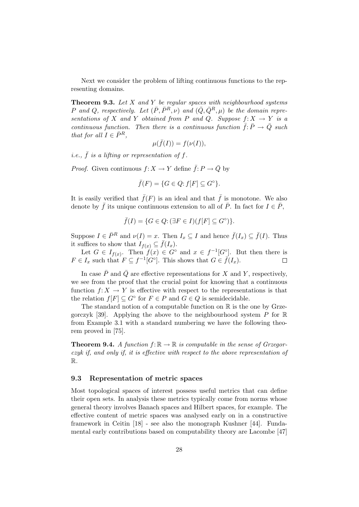Next we consider the problem of lifting continuous functions to the representing domains.

**Theorem 9.3.** Let X and Y be regular spaces with neighbourhood systems P and Q, respectively. Let  $(\bar{P}, \bar{P}^R, \nu)$  and  $(\bar{Q}, \bar{Q}^R, \mu)$  be the domain representations of X and Y obtained from P and Q. Suppose  $f: X \to Y$  is a continuous function. Then there is a continuous function  $\bar{f}: \bar{P} \to \bar{Q}$  such that for all  $I \in \bar{P}^R$ ,

$$
\mu(\bar{f}(I)) = f(\nu(I)),
$$

*i.e.*,  $\bar{f}$  is a lifting or representation of f.

*Proof.* Given continuous  $f: X \to Y$  define  $\overline{f}: P \to \overline{Q}$  by

$$
\bar{f}(F) = \{ G \in Q : f[F] \subseteq G^{\circ} \}.
$$

It is easily verified that  $\bar{f}(F)$  is an ideal and that  $\bar{f}$  is monotone. We also denote by  $\bar{f}$  its unique continuous extension to all of  $\bar{P}$ . In fact for  $I \in \bar{P}$ ,

$$
\bar{f}(I) = \{ G \in Q : (\exists F \in I)(f[F] \subseteq G^{\circ}) \}.
$$

Suppose  $I \in \bar{P}^R$  and  $\nu(I) = x$ . Then  $I_x \subseteq I$  and hence  $\bar{f}(I_x) \subseteq \bar{f}(I)$ . Thus it suffices to show that  $I_{f(x)} \subseteq \overline{f}(I_x)$ .

Let  $G \in I_{f(x)}$ . Then  $f(x) \in G^{\circ}$  and  $x \in f^{-1}[G^{\circ}]$ . But then there is  $F \in I_x$  such that  $F \subseteq f^{-1}[G^{\circ}]$ . This shows that  $G \in \overline{f}(I_x)$ .

In case  $\bar{P}$  and  $\bar{Q}$  are effective representations for X and Y, respectively, we see from the proof that the crucial point for knowing that a continuous function  $f: X \to Y$  is effective with respect to the representations is that the relation  $f[F] \subseteq G^{\circ}$  for  $F \in P$  and  $G \in Q$  is semidecidable.

The standard notion of a computable function on  $\mathbb R$  is the one by Grzegorczyk [39]. Applying the above to the neighbourhood system  $P$  for  $\mathbb R$ from Example 3.1 with a standard numbering we have the following theorem proved in [75].

**Theorem 9.4.** A function  $f: \mathbb{R} \to \mathbb{R}$  is computable in the sense of Grzegorczyk if, and only if, it is effective with respect to the above representation of R.

### 9.3 Representation of metric spaces

Most topological spaces of interest possess useful metrics that can define their open sets. In analysis these metrics typically come from norms whose general theory involves Banach spaces and Hilbert spaces, for example. The effective content of metric spaces was analysed early on in a constructive framework in Ceitin [18] - see also the monograph Kushner [44]. Fundamental early contributions based on computability theory are Lacombe [47]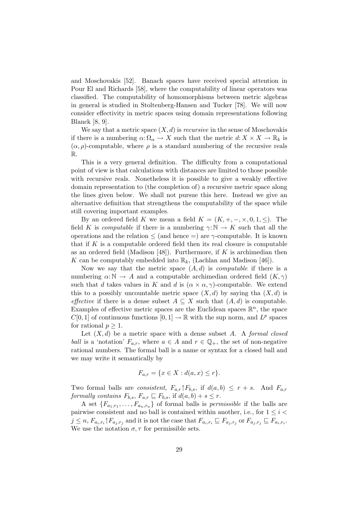and Moschovakis [52]. Banach spaces have received special attention in Pour El and Richards [58], where the computability of linear operators was classified. The computability of homomorphisms between metric algebras in general is studied in Stoltenberg-Hansen and Tucker [78]. We will now consider effectivity in metric spaces using domain representations following Blanck [8, 9].

We say that a metric space  $(X, d)$  is *recursive* in the sense of Moschovakis if there is a numbering  $\alpha: \Omega_{\alpha} \to X$  such that the metric  $d: X \times X \to \mathbb{R}_k$  is  $(\alpha, \rho)$ -computable, where  $\rho$  is a standard numbering of the recursive reals R.

This is a very general definition. The difficulty from a computational point of view is that calculations with distances are limited to those possible with recursive reals. Nonetheless it is possible to give a weakly effective domain representation to (the completion of) a recursive metric space along the lines given below. We shall not pursue this here. Instead we give an alternative definition that strengthens the computability of the space while still covering important examples.

By an ordered field K we mean a field  $K = (K, +, -, \times, 0, 1, \leq)$ . The field K is *computable* if there is a numbering  $\gamma : \mathbb{N} \to K$  such that all the operations and the relation  $\leq$  (and hence  $=$ ) are  $\gamma$ -computable. It is known that if K is a computable ordered field then its real closure is computable as an ordered field (Madison [48]). Furthermore, if  $K$  is archimedian then K can be computably embedded into  $\mathbb{R}_k$ , (Lachlan and Madison [46]).

Now we say that the metric space  $(A, d)$  is *computable* if there is a numbering  $\alpha: \mathbb{N} \to A$  and a computable archimedian ordered field  $(K, \gamma)$ such that d takes values in K and d is  $(\alpha \times \alpha, \gamma)$ -computable. We extend this to a possibly uncountable metric space  $(X, d)$  by saying tha  $(X, d)$  is effective if there is a dense subset  $A \subseteq X$  such that  $(A, d)$  is computable. Examples of effective metric spaces are the Euclidean spaces  $\mathbb{R}^n$ , the space  $C[0,1]$  of continuous functions  $[0,1] \to \mathbb{R}$  with the sup norm, and  $L^p$  spaces for rational  $p \geq 1$ .

Let  $(X, d)$  be a metric space with a dense subset A. A formal closed ball is a 'notation'  $F_{a,r}$ , where  $a \in A$  and  $r \in \mathbb{Q}_+$ , the set of non-negative rational numbers. The formal ball is a name or syntax for a closed ball and we may write it semantically by

$$
F_{a,r} = \{ x \in X : d(a,x) \le r \}.
$$

Two formal balls are *consistent*,  $F_{a,r} \upharpoonright F_{b,s}$ , if  $d(a,b) \leq r+s$ . And  $F_{a,r}$ formally contains  $F_{b,s}$ ,  $F_{a,r} \sqsubseteq F_{b,s}$ , if  $d(a, b) + s \leq r$ .

A set  ${F_{a_1,r_1}, \ldots, F_{a_n,r_n}}$  of formal balls is *permissible* if the balls are pairwise consistent and no ball is contained within another, i.e., for  $1 \leq i$  $j \leq n$ ,  $F_{a_i,r_i} \uparrow F_{a_j,r_j}$  and it is not the case that  $F_{a_i,r_i} \sqsubseteq F_{a_j,r_j}$  or  $F_{a_j,r_j} \sqsubseteq F_{a_i,r_i}$ . We use the notation  $\sigma$ ,  $\tau$  for permissible sets.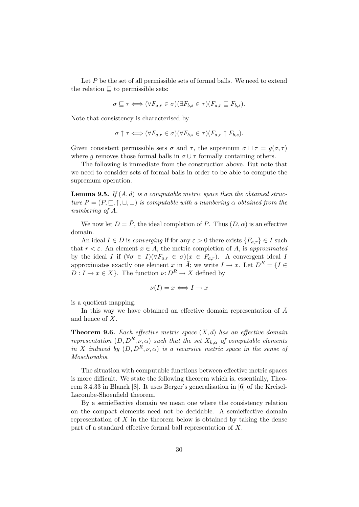Let  $P$  be the set of all permissible sets of formal balls. We need to extend the relation  $\sqsubseteq$  to permissible sets:

$$
\sigma \sqsubseteq \tau \Longleftrightarrow (\forall F_{a,r} \in \sigma)(\exists F_{b,s} \in \tau)(F_{a,r} \sqsubseteq F_{b,s}).
$$

Note that consistency is characterised by

$$
\sigma \uparrow \tau \Longleftrightarrow (\forall F_{a,r} \in \sigma)(\forall F_{b,s} \in \tau)(F_{a,r} \uparrow F_{b,s}).
$$

Given consistent permissible sets  $\sigma$  and  $\tau$ , the supremum  $\sigma \sqcup \tau = g(\sigma, \tau)$ where g removes those formal balls in  $\sigma \cup \tau$  formally containing others.

The following is immediate from the construction above. But note that we need to consider sets of formal balls in order to be able to compute the supremum operation.

**Lemma 9.5.** If  $(A, d)$  is a computable metric space then the obtained structure  $P = (P, \subseteq, \uparrow, \sqcup, \perp)$  is computable with a numbering  $\alpha$  obtained from the numbering of A.

We now let  $D = \overline{P}$ , the ideal completion of P. Thus  $(D, \alpha)$  is an effective domain.

An ideal  $I \in D$  is converging if for any  $\varepsilon > 0$  there exists  $\{F_{a,r}\} \in I$  such that  $r < \varepsilon$ . An element  $x \in \overline{A}$ , the metric completion of A, is approximated by the ideal I if  $(\forall \sigma \in I)(\forall F_{a,r} \in \sigma)(x \in F_{a,r})$ . A convergent ideal I approximates exactly one element x in  $\overline{A}$ ; we write  $I \to x$ . Let  $D^R = \{I \in$  $D: I \to x \in X$ . The function  $\nu: D^R \to X$  defined by

$$
\nu(I) = x \Longleftrightarrow I \to x
$$

is a quotient mapping.

In this way we have obtained an effective domain representation of A and hence of X.

**Theorem 9.6.** Each effective metric space  $(X, d)$  has an effective domain representation  $(D, D^R, \nu, \alpha)$  such that the set  $X_{k,\alpha}$  of computable elements in X induced by  $(D, D^R, \nu, \alpha)$  is a recursive metric space in the sense of Moschovakis.

The situation with computable functions between effective metric spaces is more difficult. We state the following theorem which is, essentially, Theorem 3.4.33 in Blanck [8]. It uses Berger's generalisation in [6] of the Kreisel-Lacombe-Shoenfield theorem.

By a semieffective domain we mean one where the consistency relation on the compact elements need not be decidable. A semieffective domain representation of  $X$  in the theorem below is obtained by taking the dense part of a standard effective formal ball representation of X.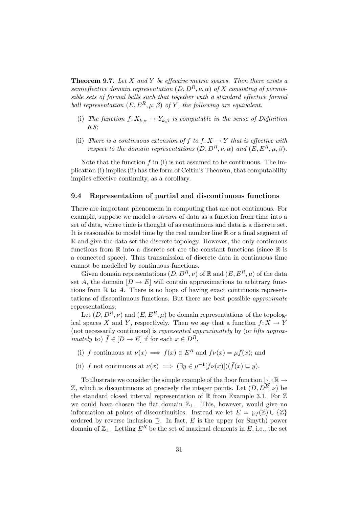**Theorem 9.7.** Let X and Y be effective metric spaces. Then there exists a semieffective domain representation  $(D, D^R, \nu, \alpha)$  of X consisting of permissible sets of formal balls such that together with a standard effective formal ball representation  $(E, E^R, \mu, \beta)$  of Y, the following are equivalent.

- (i) The function  $f: X_{k,\alpha} \to Y_{k,\beta}$  is computable in the sense of Definition 6.8;
- (ii) There is a continuous extension of f to  $f: X \to Y$  that is effective with respect to the domain representations  $(D, D^R, \nu, \alpha)$  and  $(E, E^R, \mu, \beta)$ .

Note that the function  $f$  in (i) is not assumed to be continuous. The implication (i) implies (ii) has the form of Ceitin's Theorem, that computability implies effective continuity, as a corollary.

### 9.4 Representation of partial and discontinuous functions

There are important phenomena in computing that are not continuous. For example, suppose we model a stream of data as a function from time into a set of data, where time is thought of as continuous and data is a discrete set. It is reasonable to model time by the real number line R or a final segment of R and give the data set the discrete topology. However, the only continuous functions from  $\mathbb R$  into a discrete set are the constant functions (since  $\mathbb R$  is a connected space). Thus transmission of discrete data in continuous time cannot be modelled by continuous functions.

Given domain representations  $(D, D^R, \nu)$  of  $\mathbb R$  and  $(E, E^R, \mu)$  of the data set A, the domain  $[D \to E]$  will contain approximations to arbitrary functions from  $\mathbb R$  to A. There is no hope of having exact continuous representations of discontinuous functions. But there are best possible approximate representations.

Let  $(D, D^R, \nu)$  and  $(E, E^R, \mu)$  be domain representations of the topological spaces X and Y, respectively. Then we say that a function  $f: X \to Y$ (not necessarily continuous) is represented approximately by (or lifts approx*imately* to)  $\bar{f} \in [D \to E]$  if for each  $x \in D^R$ ,

- (i) f continuous at  $\nu(x) \implies \bar{f}(x) \in E^R$  and  $f\nu(x) = \mu \bar{f}(x)$ ; and
- (ii) f not continuous at  $\nu(x) \implies (\exists y \in \mu^{-1}[f\nu(x)])(\bar{f}(x) \sqsubseteq y).$

To illustrate we consider the simple example of the floor function  $|\cdot|: \mathbb{R} \to$  $\mathbb{Z}$ , which is discontinuous at precisely the integer points. Let  $(D, D^R, \nu)$  be the standard closed interval representation of  $\mathbb R$  from Example 3.1. For  $\mathbb Z$ we could have chosen the flat domain  $\mathbb{Z}_\perp$ . This, however, would give no information at points of discontinuities. Instead we let  $E = \wp_f(\mathbb{Z}) \cup \{\mathbb{Z}\}\$ ordered by reverse inclusion  $\supset$ . In fact, E is the upper (or Smyth) power domain of  $\mathbb{Z}_+$ . Letting  $E^R$  be the set of maximal elements in E, i.e., the set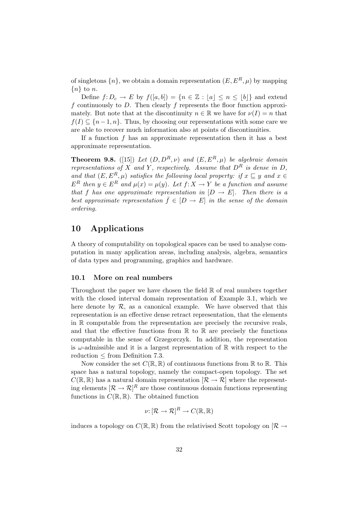of singletons  $\{n\}$ , we obtain a domain representation  $(E, E^R, \mu)$  by mapping  ${n}$  to n.

Define  $f: D_c \to E$  by  $f([a, b]) = \{n \in \mathbb{Z} : |a| \leq n \leq |b|\}\$  and extend f continuously to D. Then clearly f represents the floor function approximately. But note that at the discontinuity  $n \in \mathbb{R}$  we have for  $\nu(I) = n$  that  $f(I) \subseteq \{n-1,n\}$ . Thus, by choosing our representations with some care we are able to recover much information also at points of discontinuities.

If a function  $f$  has an approximate representation then it has a best approximate representation.

**Theorem 9.8.** ([15]) Let  $(D, D^R, \nu)$  and  $(E, E^R, \mu)$  be algebraic domain representations of X and Y, respectively. Assume that  $D^R$  is dense in D, and that  $(E, E^R, \mu)$  satisfies the following local property: if  $x \sqsubseteq y$  and  $x \in$  $E^R$  then  $y \in E^R$  and  $\mu(x) = \mu(y)$ . Let  $f: X \to Y$  be a function and assume that f has one approximate representation in  $[D \to E]$ . Then there is a best approximate representation  $\bar{f} \in [D \to E]$  in the sense of the domain ordering.

### 10 Applications

A theory of computability on topological spaces can be used to analyse computation in many application areas, including analysis, algebra, semantics of data types and programming, graphics and hardware.

### 10.1 More on real numbers

Throughout the paper we have chosen the field  $\mathbb R$  of real numbers together with the closed interval domain representation of Example 3.1, which we here denote by  $R$ , as a canonical example. We have observed that this representation is an effective dense retract representation, that the elements in R computable from the representation are precisely the recursive reals, and that the effective functions from  $\mathbb R$  to  $\mathbb R$  are precisely the functions computable in the sense of Grzegorczyk. In addition, the representation is  $\omega$ -admissible and it is a largest representation of  $\mathbb R$  with respect to the reduction ≤ from Definition 7.3.

Now consider the set  $C(\mathbb{R}, \mathbb{R})$  of continuous functions from  $\mathbb{R}$  to  $\mathbb{R}$ . This space has a natural topology, namely the compact-open topology. The set  $C(\mathbb{R}, \mathbb{R})$  has a natural domain representation  $[\mathcal{R} \to \mathcal{R}]$  where the representing elements  $[\mathcal{R} \to \mathcal{R}]^R$  are those continuous domain functions representing functions in  $C(\mathbb{R}, \mathbb{R})$ . The obtained function

$$
\nu: [\mathcal{R} \to \mathcal{R}]^R \to C(\mathbb{R}, \mathbb{R})
$$

induces a topology on  $C(\mathbb{R}, \mathbb{R})$  from the relativised Scott topology on  $[\mathcal{R} \rightarrow$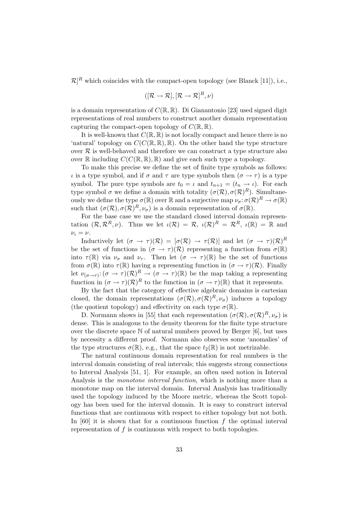$\mathcal{R}^R$  which coincides with the compact-open topology (see Blanck [11]), i.e.,

$$
([\mathcal{R}\rightarrow\mathcal{R}], [\mathcal{R}\rightarrow\mathcal{R}]^R, \nu)
$$

is a domain representation of  $C(\mathbb{R}, \mathbb{R})$ . Di Gianantonio [23] used signed digit representations of real numbers to construct another domain representation capturing the compact-open topology of  $C(\mathbb{R}, \mathbb{R})$ .

It is well-known that  $C(\mathbb{R}, \mathbb{R})$  is not locally compact and hence there is no 'natural' topology on  $C(C(\mathbb{R}, \mathbb{R}), \mathbb{R})$ . On the other hand the type structure over  $\mathcal R$  is well-behaved and therefore we can construct a type structure also over  $\mathbb R$  including  $C(C(\mathbb R, \mathbb R), \mathbb R)$  and give each such type a topology.

To make this precise we define the set of finite type symbols as follows:  $\iota$  is a type symbol, and if  $\sigma$  and  $\tau$  are type symbols then  $(\sigma \to \tau)$  is a type symbol. The pure type symbols are  $t_0 = \iota$  and  $t_{n+1} = (t_n \to \iota)$ . For each type symbol  $\sigma$  we define a domain with totality  $(\sigma(\mathcal{R}), \sigma(\mathcal{R})^R)$ . Simultaneously we define the type  $\sigma(\mathbb{R})$  over  $\mathbb R$  and a surjective map  $\nu_{\sigma} \colon \sigma(\mathcal{R})^R \to \sigma(\mathbb{R})$ such that  $(\sigma(\mathcal{R}), \sigma(\mathcal{R})^R, \nu_{\sigma})$  is a domain representation of  $\sigma(\mathbb{R})$ .

For the base case we use the standard closed interval domain representation  $(\mathcal{R}, \mathcal{R}^R, \nu)$ . Thus we let  $\iota(\mathcal{R}) = \mathcal{R}, \ \iota(\mathcal{R})^R = \mathcal{R}^R, \ \iota(\mathbb{R}) = \mathbb{R}$  and  $\nu_{\iota} = \nu.$ 

Inductively let  $(\sigma \to \tau)(\mathcal{R}) = [\sigma(\mathcal{R}) \to \tau(\mathcal{R})]$  and let  $(\sigma \to \tau)(\mathcal{R})^R$ be the set of functions in  $(\sigma \to \tau)(\mathcal{R})$  representing a function from  $\sigma(\mathbb{R})$ into  $\tau(\mathbb{R})$  via  $\nu_{\sigma}$  and  $\nu_{\tau}$ . Then let  $(\sigma \to \tau)(\mathbb{R})$  be the set of functions from  $\sigma(\mathbb{R})$  into  $\tau(\mathbb{R})$  having a representing function in  $(\sigma \to \tau)(\mathcal{R})$ . Finally let  $\nu_{(\sigma \to \tau)} : (\sigma \to \tau)(\mathcal{R})^R \to (\sigma \to \tau)(\mathbb{R})$  be the map taking a representing function in  $(\sigma \to \tau)(\mathcal{R})^R$  to the function in  $(\sigma \to \tau)(\mathbb{R})$  that it represents.

By the fact that the category of effective algebraic domains is cartesian closed, the domain representations  $(\sigma(\mathcal{R}), \sigma(\mathcal{R})^R, \nu_{\sigma})$  induces a topology (the quotient topology) and effectivity on each type  $\sigma(\mathbb{R})$ .

D. Normann shows in [55] that each representation  $(\sigma(\mathcal{R}), \sigma(\mathcal{R})^R, \nu_{\sigma})$  is dense. This is analogous to the density theorem for the finite type structure over the discrete space  $N$  of natural numbers proved by Berger  $[6]$ , but uses by necessity a different proof. Normann also observes some 'anomalies' of the type structures  $\sigma(\mathbb{R})$ , e.g., that the space  $t_2(\mathbb{R})$  is not metrizable.

The natural continuous domain representation for real numbers is the interval domain consisting of real intervals; this suggests strong connections to Interval Analysis [51, 1]. For example, an often used notion in Interval Analysis is the monotone interval function, which is nothing more than a monotone map on the interval domain. Interval Analysis has traditionally used the topology induced by the Moore metric, whereas the Scott topology has been used for the interval domain. It is easy to construct interval functions that are continuous with respect to either topology but not both. In  $[60]$  it is shown that for a continuous function f the optimal interval representation of f is continuous with respect to both topologies.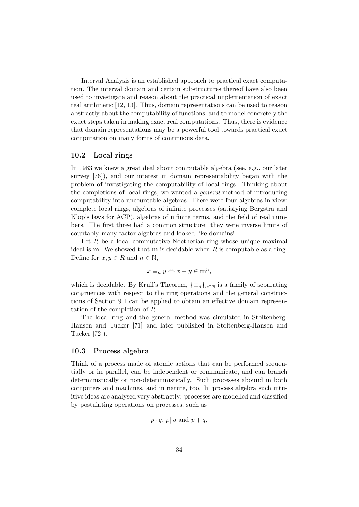Interval Analysis is an established approach to practical exact computation. The interval domain and certain substructures thereof have also been used to investigate and reason about the practical implementation of exact real arithmetic [12, 13]. Thus, domain representations can be used to reason abstractly about the computability of functions, and to model concretely the exact steps taken in making exact real computations. Thus, there is evidence that domain representations may be a powerful tool towards practical exact computation on many forms of continuous data.

### 10.2 Local rings

In 1983 we knew a great deal about computable algebra (see, e.g., our later survey [76]), and our interest in domain representability began with the problem of investigating the computability of local rings. Thinking about the completions of local rings, we wanted a general method of introducing computability into uncountable algebras. There were four algebras in view: complete local rings, algebras of infinite processes (satisfying Bergstra and Klop's laws for ACP), algebras of infinite terms, and the field of real numbers. The first three had a common structure: they were inverse limits of countably many factor algebras and looked like domains!

Let R be a local commutative Noetherian ring whose unique maximal ideal is **m**. We showed that **m** is decidable when R is computable as a ring. Define for  $x, y \in R$  and  $n \in \mathbb{N}$ ,

$$
x \equiv_n y \Leftrightarrow x - y \in \mathbf{m}^n,
$$

which is decidable. By Krull's Theorem,  $\{\equiv_n\}_{n\in\mathbb{N}}$  is a family of separating congruences with respect to the ring operations and the general constructions of Section 9.1 can be applied to obtain an effective domain representation of the completion of R.

The local ring and the general method was circulated in Stoltenberg-Hansen and Tucker [71] and later published in Stoltenberg-Hansen and Tucker [72]).

#### 10.3 Process algebra

Think of a process made of atomic actions that can be performed sequentially or in parallel, can be independent or communicate, and can branch deterministically or non-deterministically. Such processes abound in both computers and machines, and in nature, too. In process algebra such intuitive ideas are analysed very abstractly: processes are modelled and classified by postulating operations on processes, such as

$$
p \cdot q
$$
,  $p||q$  and  $p + q$ ,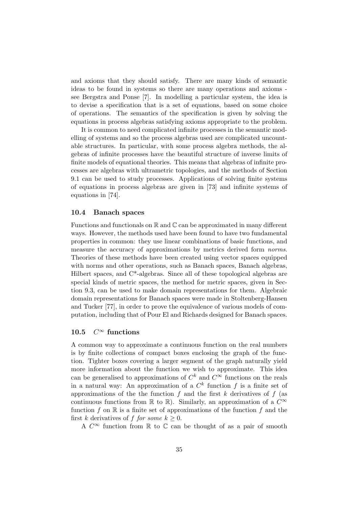and axioms that they should satisfy. There are many kinds of semantic ideas to be found in systems so there are many operations and axioms see Bergstra and Ponse [7]. In modelling a particular system, the idea is to devise a specification that is a set of equations, based on some choice of operations. The semantics of the specification is given by solving the equations in process algebras satisfying axioms appropriate to the problem.

It is common to need complicated infinite processes in the semantic modelling of systems and so the process algebras used are complicated uncountable structures. In particular, with some process algebra methods, the algebras of infinite processes have the beautiful structure of inverse limits of finite models of equational theories. This means that algebras of infinite processes are algebras with ultrametric topologies, and the methods of Section 9.1 can be used to study processes. Applications of solving finite systems of equations in process algebras are given in [73] and infinite systems of equations in [74].

### 10.4 Banach spaces

Functions and functionals on  $\mathbb R$  and  $\mathbb C$  can be approximated in many different ways. However, the methods used have been found to have two fundamental properties in common: they use linear combinations of basic functions, and measure the accuracy of approximations by metrics derived form norms. Theories of these methods have been created using vector spaces equipped with norms and other operations, such as Banach spaces, Banach algebras, Hilbert spaces, and C\*-algebras. Since all of these topological algebras are special kinds of metric spaces, the method for metric spaces, given in Section 9.3, can be used to make domain representations for them. Algebraic domain representations for Banach spaces were made in Stoltenberg-Hansen and Tucker [77], in order to prove the equivalence of various models of computation, including that of Pour El and Richards designed for Banach spaces.

#### 10.5  $C^{\infty}$  functions

A common way to approximate a continuous function on the real numbers is by finite collections of compact boxes enclosing the graph of the function. Tighter boxes covering a larger segment of the graph naturally yield more information about the function we wish to approximate. This idea can be generalised to approximations of  $C^k$  and  $C^{\infty}$  functions on the reals in a natural way: An approximation of a  $C<sup>k</sup>$  function f is a finite set of approximations of the the function f and the first k derivatives of f (as continuous functions from R to R). Similarly, an approximation of a  $C^{\infty}$ function f on  $\mathbb R$  is a finite set of approximations of the function f and the first k derivatives of f for some  $k \geq 0$ .

A  $C^{\infty}$  function from  $\mathbb R$  to  $\mathbb C$  can be thought of as a pair of smooth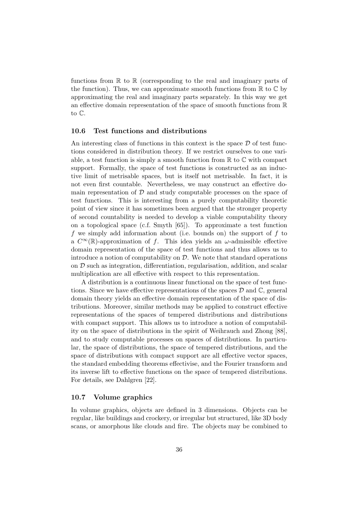functions from  $\mathbb R$  to  $\mathbb R$  (corresponding to the real and imaginary parts of the function). Thus, we can approximate smooth functions from  $\mathbb R$  to  $\mathbb C$  by approximating the real and imaginary parts separately. In this way we get an effective domain representation of the space of smooth functions from R to C.

### 10.6 Test functions and distributions

An interesting class of functions in this context is the space  $\mathcal D$  of test functions considered in distribution theory. If we restrict ourselves to one variable, a test function is simply a smooth function from  $\mathbb R$  to  $\mathbb C$  with compact support. Formally, the space of test functions is constructed as an inductive limit of metrisable spaces, but is itself not metrisable. In fact, it is not even first countable. Nevertheless, we may construct an effective domain representation of  $D$  and study computable processes on the space of test functions. This is interesting from a purely computability theoretic point of view since it has sometimes been argued that the stronger property of second countability is needed to develop a viable computability theory on a topological space (c.f. Smyth [65]). To approximate a test function f we simply add information about (i.e. bounds on) the support of  $f$  to a  $C^{\infty}(\mathbb{R})$ -approximation of f. This idea yields an  $\omega$ -admissible effective domain representation of the space of test functions and thus allows us to introduce a notion of computability on  $D$ . We note that standard operations on  $D$  such as integration, differentiation, regularisation, addition, and scalar multiplication are all effective with respect to this representation.

A distribution is a continuous linear functional on the space of test functions. Since we have effective representations of the spaces  $\mathcal D$  and  $\mathbb C$ , general domain theory yields an effective domain representation of the space of distributions. Moreover, similar methods may be applied to construct effective representations of the spaces of tempered distributions and distributions with compact support. This allows us to introduce a notion of computability on the space of distributions in the spirit of Weihrauch and Zhong [88], and to study computable processes on spaces of distributions. In particular, the space of distributions, the space of tempered distributions, and the space of distributions with compact support are all effective vector spaces, the standard embedding theorems effectivise, and the Fourier transform and its inverse lift to effective functions on the space of tempered distributions. For details, see Dahlgren [22].

### 10.7 Volume graphics

In volume graphics, objects are defined in 3 dimensions. Objects can be regular, like buildings and crockery, or irregular but structured, like 3D body scans, or amorphous like clouds and fire. The objects may be combined to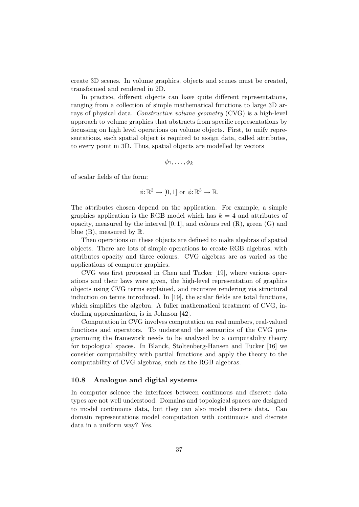create 3D scenes. In volume graphics, objects and scenes must be created, transformed and rendered in 2D.

In practice, different objects can have quite different representations, ranging from a collection of simple mathematical functions to large 3D arrays of physical data. Constructive volume geometry (CVG) is a high-level approach to volume graphics that abstracts from specific representations by focussing on high level operations on volume objects. First, to unify representations, each spatial object is required to assign data, called attributes, to every point in 3D. Thus, spatial objects are modelled by vectors

$$
\phi_1,\ldots,\phi_k
$$

of scalar fields of the form:

$$
\phi: \mathbb{R}^3 \to [0,1]
$$
 or  $\phi: \mathbb{R}^3 \to \mathbb{R}$ .

The attributes chosen depend on the application. For example, a simple graphics application is the RGB model which has  $k = 4$  and attributes of opacity, measured by the interval  $[0, 1]$ , and colours red  $(R)$ , green  $(G)$  and blue  $(B)$ , measured by  $\mathbb R$ .

Then operations on these objects are defined to make algebras of spatial objects. There are lots of simple operations to create RGB algebras, with attributes opacity and three colours. CVG algebras are as varied as the applications of computer graphics.

CVG was first proposed in Chen and Tucker [19], where various operations and their laws were given, the high-level representation of graphics objects using CVG terms explained, and recursive rendering via structural induction on terms introduced. In [19], the scalar fields are total functions, which simplifies the algebra. A fuller mathematical treatment of CVG, including approximation, is in Johnson [42].

Computation in CVG involves computation on real numbers, real-valued functions and operators. To understand the semantics of the CVG programming the framework needs to be analysed by a computabilty theory for topological spaces. In Blanck, Stoltenberg-Hansen and Tucker [16] we consider computability with partial functions and apply the theory to the computability of CVG algebras, such as the RGB algebras.

### 10.8 Analogue and digital systems

In computer science the interfaces between continuous and discrete data types are not well understood. Domains and topological spaces are designed to model continuous data, but they can also model discrete data. Can domain representations model computation with continuous and discrete data in a uniform way? Yes.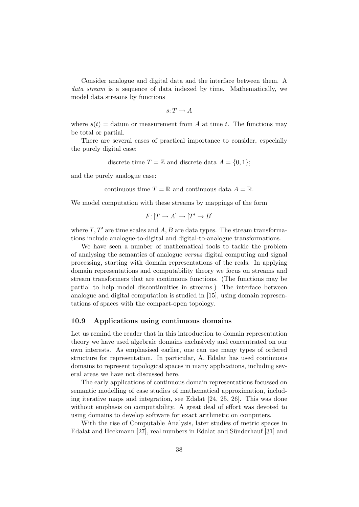Consider analogue and digital data and the interface between them. A data stream is a sequence of data indexed by time. Mathematically, we model data streams by functions

$$
s\colon T\to A
$$

where  $s(t) = \text{datum}$  or measurement from A at time t. The functions may be total or partial.

There are several cases of practical importance to consider, especially the purely digital case:

discrete time 
$$
T = \mathbb{Z}
$$
 and discrete data  $A = \{0, 1\};$ 

and the purely analogue case:

continuous time  $T = \mathbb{R}$  and continuous data  $A = \mathbb{R}$ .

We model computation with these streams by mappings of the form

$$
F: [T \to A] \to [T' \to B]
$$

where  $T, T'$  are time scales and A, B are data types. The stream transformations include analogue-to-digital and digital-to-analogue transformations.

We have seen a number of mathematical tools to tackle the problem of analysing the semantics of analogue versus digital computing and signal processing, starting with domain representations of the reals. In applying domain representations and computability theory we focus on streams and stream transformers that are continuous functions. (The functions may be partial to help model discontinuities in streams.) The interface between analogue and digital computation is studied in [15], using domain representations of spaces with the compact-open topology.

### 10.9 Applications using continuous domains

Let us remind the reader that in this introduction to domain representation theory we have used algebraic domains exclusively and concentrated on our own interests. As emphasised earlier, one can use many types of ordered structure for representation. In particular, A. Edalat has used continuous domains to represent topological spaces in many applications, including several areas we have not discussed here.

The early applications of continuous domain representations focussed on semantic modelling of case studies of mathematical approximation, including iterative maps and integration, see Edalat [24, 25, 26]. This was done without emphasis on computability. A great deal of effort was devoted to using domains to develop software for exact arithmetic on computers.

With the rise of Computable Analysis, later studies of metric spaces in Edalat and Heckmann [27], real numbers in Edalat and Sünderhauf [31] and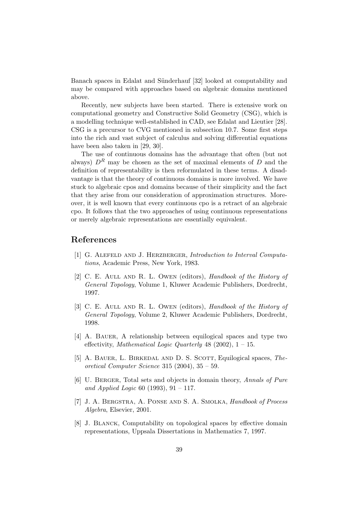Banach spaces in Edalat and Sünderhauf [32] looked at computability and may be compared with approaches based on algebraic domains mentioned above.

Recently, new subjects have been started. There is extensive work on computational geometry and Constructive Solid Geometry (CSG), which is a modelling technique well-established in CAD, see Edalat and Lieutier [28]. CSG is a precursor to CVG mentioned in subsection 10.7. Some first steps into the rich and vast subject of calculus and solving differential equations have been also taken in [29, 30].

The use of continuous domains has the advantage that often (but not always)  $D<sup>R</sup>$  may be chosen as the set of maximal elements of D and the definition of representability is then reformulated in these terms. A disadvantage is that the theory of continuous domains is more involved. We have stuck to algebraic cpos and domains because of their simplicity and the fact that they arise from our consideration of approximation structures. Moreover, it is well known that every continuous cpo is a retract of an algebraic cpo. It follows that the two approaches of using continuous representations or merely algebraic representations are essentially equivalent.

### References

- [1] G. Alefeld and J. Herzberger, Introduction to Interval Computations, Academic Press, New York, 1983.
- [2] C. E. Aull and R. L. Owen (editors), Handbook of the History of General Topology, Volume 1, Kluwer Academic Publishers, Dordrecht, 1997.
- [3] C. E. Aull and R. L. Owen (editors), Handbook of the History of General Topology, Volume 2, Kluwer Academic Publishers, Dordrecht, 1998.
- [4] A. Bauer, A relationship between equilogical spaces and type two effectivity, *Mathematical Logic Quarterly* 48 (2002),  $1 - 15$ .
- [5] A. BAUER, L. BIRKEDAL AND D. S. SCOTT, Equilogical spaces, Theoretical Computer Science 315 (2004), 35 – 59.
- [6] U. Berger, Total sets and objects in domain theory, Annals of Pure and Applied Logic 60 (1993),  $91 - 117$ .
- [7] J. A. Bergstra, A. Ponse and S. A. Smolka, Handbook of Process Algebra, Elsevier, 2001.
- [8] J. Blanck, Computability on topological spaces by effective domain representations, Uppsala Dissertations in Mathematics 7, 1997.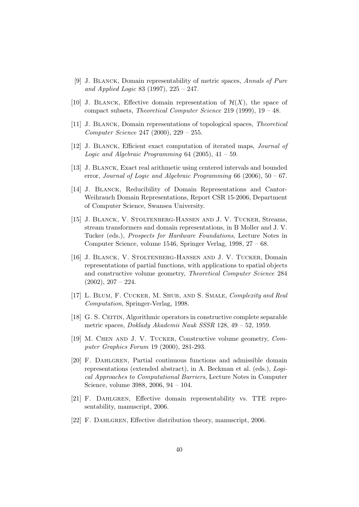- [9] J. Blanck, Domain representability of metric spaces, Annals of Pure and Applied Logic 83 (1997), 225 – 247.
- [10] J. BLANCK, Effective domain representation of  $\mathcal{H}(X)$ , the space of compact subsets, Theoretical Computer Science 219 (1999), 19 – 48.
- [11] J. Blanck, Domain representations of topological spaces, Theoretical Computer Science 247 (2000), 229 – 255.
- [12] J. Blanck, Efficient exact computation of iterated maps, Journal of Logic and Algebraic Programming 64 (2005),  $41 - 59$ .
- [13] J. Blanck, Exact real arithmetic using centered intervals and bounded error, Journal of Logic and Algebraic Programming  $66$  (2006),  $50 - 67$ .
- [14] J. Blanck, Reducibility of Domain Representations and Cantor-Weihrauch Domain Representations, Report CSR 15-2006, Department of Computer Science, Swansea University.
- [15] J. Blanck, V. Stoltenberg-Hansen and J. V. Tucker, Streams, stream transformers and domain representations, in B Moller and J. V. Tucker (eds.), Prospects for Hardware Foundations, Lecture Notes in Computer Science, volume 1546, Springer Verlag, 1998, 27 – 68.
- [16] J. BLANCK, V. STOLTENBERG-HANSEN AND J. V. TUCKER, Domain representations of partial functions, with applications to spatial objects and constructive volume geometry, Theoretical Computer Science 284  $(2002), 207 - 224.$
- [17] L. Blum, F. Cucker, M. Shub, and S. Smale, Complexity and Real Computation, Springer-Verlag, 1998.
- [18] G. S. Ceitin, Algorithmic operators in constructive complete separable metric spaces, Doklady Akademii Nauk SSSR 128, 49 – 52, 1959.
- [19] M. Chen and J. V. Tucker, Constructive volume geometry, Computer Graphics Forum 19 (2000), 281-293.
- [20] F. DAHLGREN, Partial continuous functions and admissible domain representations (extended abstract), in A. Beckman et al. (eds.), Logical Approaches to Computational Barriers, Lecture Notes in Computer Science, volume 3988, 2006, 94 – 104.
- [21] F. Dahlgren, Effective domain representability vs. TTE representability, manuscript, 2006.
- [22] F. DAHLGREN, Effective distribution theory, manuscript, 2006.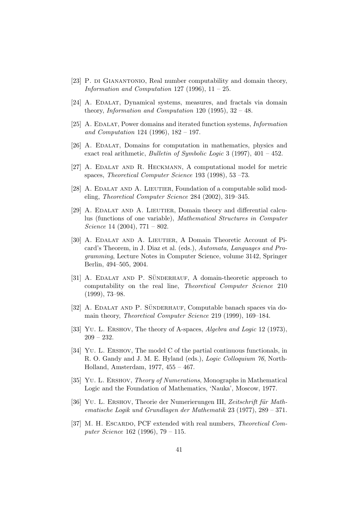- [23] P. di Gianantonio, Real number computability and domain theory, Information and Computation 127 (1996),  $11 - 25$ .
- [24] A. EDALAT, Dynamical systems, measures, and fractals via domain theory, Information and Computation 120 (1995),  $32 - 48$ .
- [25] A. EDALAT, Power domains and iterated function systems, *Information* and Computation 124 (1996), 182 – 197.
- [26] A. Edalat, Domains for computation in mathematics, physics and exact real arithmetic, *Bulletin of Symbolic Logic* 3 (1997),  $401 - 452$ .
- [27] A. EDALAT AND R. HECKMANN, A computational model for metric spaces, Theoretical Computer Science 193 (1998), 53 –73.
- [28] A. Edalat and A. Lieutier, Foundation of a computable solid modeling, Theoretical Computer Science 284 (2002), 319–345.
- [29] A. EDALAT AND A. LIEUTIER, Domain theory and differential calculus (functions of one variable), Mathematical Structures in Computer Science 14 (2004), 771 – 802.
- [30] A. EDALAT AND A. LIEUTIER, A Domain Theoretic Account of Picard's Theorem, in J. Diaz et al. (eds.), Automata, Languages and Programming, Lecture Notes in Computer Science, volume 3142, Springer Berlin, 494–505, 2004.
- [31] A. EDALAT AND P. SÜNDERHAUF, A domain-theoretic approach to computability on the real line, Theoretical Computer Science 210 (1999), 73–98.
- [32] A. EDALAT AND P. SÜNDERHAUF, Computable banach spaces via domain theory, Theoretical Computer Science 219 (1999), 169–184.
- [33] Yu. L. ERSHOV, The theory of A-spaces, Algebra and Logic 12 (1973), 209 – 232.
- [34] Yu. L. Ershov, The model C of the partial continuous functionals, in R. O. Gandy and J. M. E. Hyland (eds.), Logic Colloquium 76, North-Holland, Amsterdam, 1977, 455 – 467.
- [35] Yu. L. Ershov, Theory of Numerations, Monographs in Mathematical Logic and the Foundation of Mathematics, 'Nauka', Moscow, 1977.
- [36] YU. L. ERSHOV, Theorie der Numerierungen III, Zeitschrift für Mathematische Logik und Grundlagen der Mathematik 23 (1977), 289 – 371.
- [37] M. H. ESCARDO, PCF extended with real numbers, *Theoretical Com*puter Science 162 (1996), 79 – 115.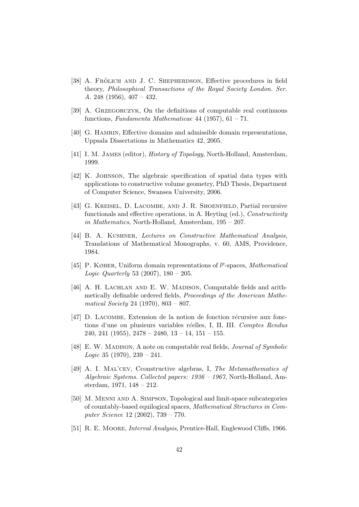- [38] A. FRÖLICH AND J. C. SHEPHERDSON, Effective procedures in field theory, Philosophical Transactions of the Royal Society London. Ser. A. 248 (1956), 407 – 432.
- [39] A. Grzegorczyk, On the definitions of computable real continuous functions, Fundamenta Mathematicae 44 (1957),  $61 - 71$ .
- [40] G. HAMRIN, Effective domains and admissible domain representations, Uppsala Dissertations in Mathematics 42, 2005.
- [41] I. M. JAMES (editor), *History of Topology*, North-Holland, Amsterdam, 1999.
- [42] K. Johnson, The algebraic specification of spatial data types with applications to constructive volume geometry, PhD Thesis, Department of Computer Science, Swansea University, 2006.
- [43] G. KREISEL, D. LACOMBE, AND J. R. SHOENFIELD, Partial recursive functionals and effective operations, in A. Heyting (ed.), Constructivity in Mathematics, North-Holland, Amsterdam, 195 – 207.
- [44] B. A. KUSHNER, Lectures on Constructive Mathematical Analysis, Translations of Mathematical Monographs, v. 60, AMS, Providence, 1984.
- [45] P. KØBER, Uniform domain representations of  $l^p$ -spaces, Mathematical Logic Quarterly 53 (2007), 180 – 205.
- [46] A. H. Lachlan and E. W. Madison, Computable fields and arithmetically definable ordered fields, Proceedings of the American Mathematical Society 24 (1970), 803 – 807.
- [47] D. LACOMBE, Extension de la notion de fonction récursive aux fonctions d'une ou plusieurs variables réelles, I, II, III. Comptes Rendus  $240, 241$  (1955),  $2478 - 2480, 13 - 14, 151 - 155.$
- [48] E. W. MADISON, A note on computable real fields, *Journal of Symbolic Logic* 35 (1970),  $239 - 241$ .
- [49] A. I. MAL'CEV, Cconstructive algebras, I, The Metamathematics of Algebraic Systems. Collected papers: 1936 – 1967, North-Holland, Amsterdam, 1971, 148 – 212.
- [50] M. Menni and A. Simpson, Topological and limit-space subcategories of countably-based equilogical spaces, Mathematical Structures in Computer Science 12 (2002), 739 – 770.
- [51] R. E. MOORE, *Interval Analysis*, Prentice-Hall, Englewood Cliffs, 1966.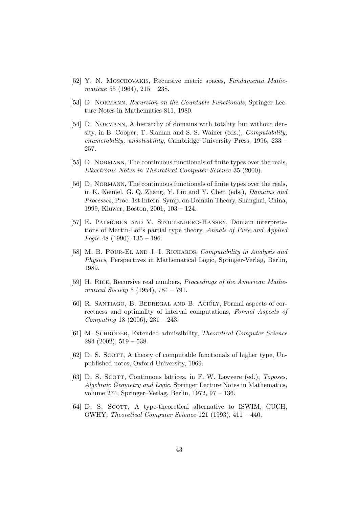- [52] Y. N. Moschovakis, Recursive metric spaces, Fundamenta Mathematicae 55 (1964), 215 – 238.
- [53] D. Normann, Recursion on the Countable Functionals, Springer Lecture Notes in Mathematics 811, 1980.
- [54] D. NORMANN, A hierarchy of domains with totality but without density, in B. Cooper, T. Slaman and S. S. Wainer (eds.), Computability, enumerability, unsolvability, Cambridge University Press, 1996, 233 – 257.
- [55] D. NORMANN, The continuous functionals of finite types over the reals, Elkectronic Notes in Theoretical Computer Science 35 (2000).
- [56] D. Normann, The continuous functionals of finite types over the reals, in K. Keimel, G. Q. Zhang, Y. Liu and Y. Chen (eds.), Domains and Processes, Proc. 1st Intern. Symp. on Domain Theory, Shanghai, China, 1999, Kluwer, Boston, 2001, 103 – 124.
- [57] E. Palmgren and V. Stoltenberg-Hansen, Domain interpretations of Martin-Löf's partial type theory, Annals of Pure and Applied *Logic* 48 (1990),  $135 - 196$ .
- [58] M. B. POUR-EL AND J. I. RICHARDS, Computability in Analysis and Physics, Perspectives in Mathematical Logic, Springer-Verlag, Berlin, 1989.
- [59] H. Rice, Recursive real numbers, Proceedings of the American Mathematical Society 5 (1954), 784 – 791.
- $[60]$  R. SANTIAGO, B. BEDREGAL AND B. ACIÓLY, Formal aspects of correctness and optimality of interval computations, Formal Aspects of Computing 18 (2006), 231 – 243.
- [61] M. SCHRÖDER, Extended admissibility, Theoretical Computer Science 284 (2002), 519 – 538.
- [62] D. S. SCOTT, A theory of computable functionals of higher type, Unpublished notes, Oxford University, 1969.
- [63] D. S. SCOTT, Continuous lattices, in F. W. Lawvere (ed.), Toposes, Algebraic Geometry and Logic, Springer Lecture Notes in Mathematics, volume 274, Springer–Verlag, Berlin, 1972, 97 – 136.
- [64] D. S. SCOTT, A type-theoretical alternative to ISWIM, CUCH, OWHY, Theoretical Computer Science 121 (1993), 411 – 440.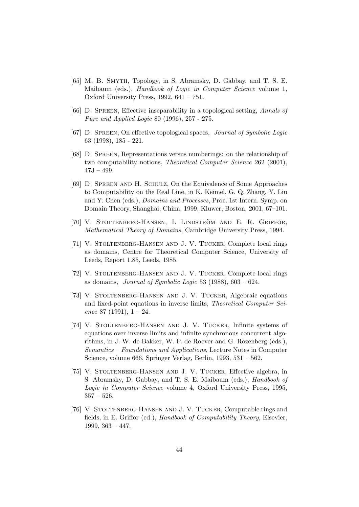- [65] M. B. Smyth, Topology, in S. Abramsky, D. Gabbay, and T. S. E. Maibaum (eds.), Handbook of Logic in Computer Science volume 1, Oxford University Press, 1992, 641 – 751.
- [66] D. Spreen, Effective inseparability in a topological setting, Annals of Pure and Applied Logic 80 (1996), 257 - 275.
- [67] D. Spreen, On effective topological spaces, Journal of Symbolic Logic 63 (1998), 185 - 221.
- [68] D. Spreen, Representations versus numberings: on the relationship of two computability notions, Theoretical Computer Science 262 (2001),  $473 - 499.$
- [69] D. Spreen and H. Schulz, On the Equivalence of Some Approaches to Computability on the Real Line, in K. Keimel, G. Q. Zhang, Y. Liu and Y. Chen (eds.), Domains and Processes, Proc. 1st Intern. Symp. on Domain Theory, Shanghai, China, 1999, Kluwer, Boston, 2001, 67–101.
- [70] V. STOLTENBERG-HANSEN, I. LINDSTRÖM AND E. R. GRIFFOR, Mathematical Theory of Domains, Cambridge University Press, 1994.
- [71] V. STOLTENBERG-HANSEN AND J. V. TUCKER, Complete local rings as domains, Centre for Theoretical Computer Science, University of Leeds, Report 1.85, Leeds, 1985.
- [72] V. Stoltenberg-Hansen and J. V. Tucker, Complete local rings as domains, Journal of Symbolic Logic 53 (1988), 603 – 624.
- [73] V. Stoltenberg-Hansen and J. V. Tucker, Algebraic equations and fixed-point equations in inverse limits, Theoretical Computer Science 87 (1991),  $1 - 24$ .
- [74] V. Stoltenberg-Hansen and J. V. Tucker, Infinite systems of equations over inverse limits and infinite synchronous concurrent algorithms, in J. W. de Bakker, W. P. de Roever and G. Rozenberg (eds.), Semantics – Foundations and Applications, Lecture Notes in Computer Science, volume 666, Springer Verlag, Berlin, 1993, 531 – 562.
- [75] V. Stoltenberg-Hansen and J. V. Tucker, Effective algebra, in S. Abramsky, D. Gabbay, and T. S. E. Maibaum (eds.), Handbook of Logic in Computer Science volume 4, Oxford University Press, 1995,  $357 - 526$ .
- [76] V. STOLTENBERG-HANSEN AND J. V. TUCKER, Computable rings and fields, in E. Griffor (ed.), Handbook of Computability Theory, Elsevier, 1999, 363 – 447.